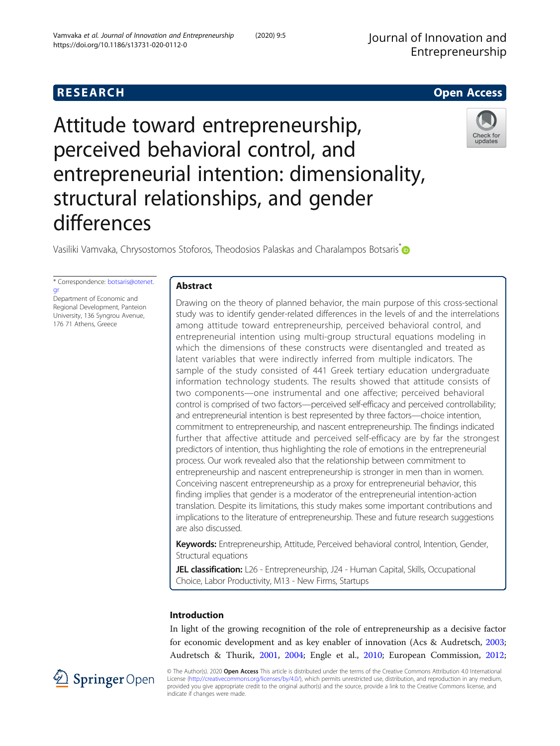# **RESEARCH CHE CHE Open Access**

# Attitude toward entrepreneurship, perceived behavioral control, and entrepreneurial intention: dimensionality, structural relationships, and gender differences

Vasiliki Vamvaka, Chrysostomos Stoforos, Theodosios Palaskas and Charalampos Botsaris[\\*](http://orcid.org/0000-0002-0768-0569)

\* Correspondence: [botsaris@otenet.](mailto:botsaris@otenet.gr) [gr](mailto:botsaris@otenet.gr) Department of Economic and Regional Development, Panteion University, 136 Syngrou Avenue,

# Abstract

Drawing on the theory of planned behavior, the main purpose of this cross-sectional study was to identify gender-related differences in the levels of and the interrelations among attitude toward entrepreneurship, perceived behavioral control, and entrepreneurial intention using multi-group structural equations modeling in which the dimensions of these constructs were disentangled and treated as latent variables that were indirectly inferred from multiple indicators. The sample of the study consisted of 441 Greek tertiary education undergraduate information technology students. The results showed that attitude consists of two components—one instrumental and one affective; perceived behavioral control is comprised of two factors—perceived self-efficacy and perceived controllability; and entrepreneurial intention is best represented by three factors—choice intention, commitment to entrepreneurship, and nascent entrepreneurship. The findings indicated further that affective attitude and perceived self-efficacy are by far the strongest predictors of intention, thus highlighting the role of emotions in the entrepreneurial process. Our work revealed also that the relationship between commitment to entrepreneurship and nascent entrepreneurship is stronger in men than in women. Conceiving nascent entrepreneurship as a proxy for entrepreneurial behavior, this finding implies that gender is a moderator of the entrepreneurial intention-action translation. Despite its limitations, this study makes some important contributions and implications to the literature of entrepreneurship. These and future research suggestions are also discussed.

Keywords: Entrepreneurship, Attitude, Perceived behavioral control, Intention, Gender, Structural equations

JEL classification: L26 - Entrepreneurship, J24 - Human Capital, Skills, Occupational Choice, Labor Productivity, M13 - New Firms, Startups

# Introduction

In light of the growing recognition of the role of entrepreneurship as a decisive factor for economic development and as key enabler of innovation (Acs & Audretsch, [2003](#page-21-0); Audretsch & Thurik, [2001,](#page-21-0) [2004;](#page-21-0) Engle et al., [2010;](#page-22-0) European Commission, [2012](#page-22-0);

© The Author(s). 2020 Open Access This article is distributed under the terms of the Creative Commons Attribution 4.0 International License [\(http://creativecommons.org/licenses/by/4.0/](http://creativecommons.org/licenses/by/4.0/)), which permits unrestricted use, distribution, and reproduction in any medium, provided you give appropriate credit to the original author(s) and the source, provide a link to the Creative Commons license, and indicate if changes were made.





 $\textcircled{2}$  Springer Open



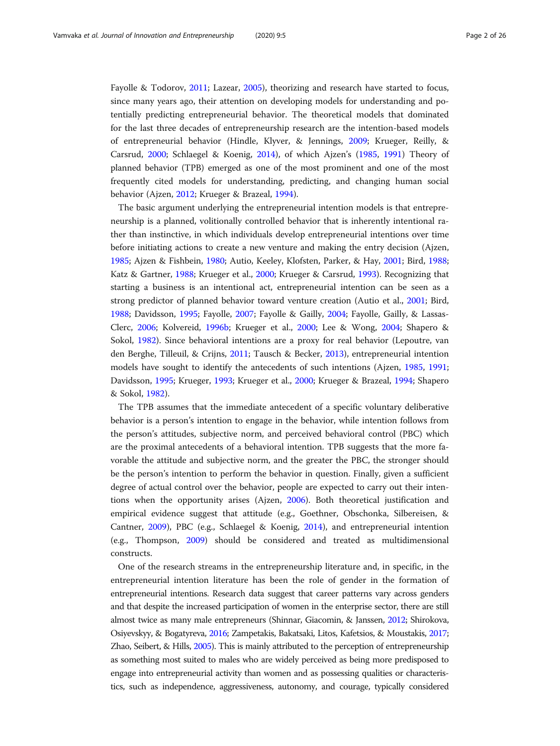Fayolle & Todorov, [2011](#page-22-0); Lazear, [2005\)](#page-24-0), theorizing and research have started to focus, since many years ago, their attention on developing models for understanding and potentially predicting entrepreneurial behavior. The theoretical models that dominated for the last three decades of entrepreneurship research are the intention-based models of entrepreneurial behavior (Hindle, Klyver, & Jennings, [2009;](#page-23-0) Krueger, Reilly, & Carsrud, [2000;](#page-23-0) Schlaegel & Koenig, [2014\)](#page-24-0), of which Ajzen's ([1985](#page-21-0), [1991\)](#page-21-0) Theory of planned behavior (TPB) emerged as one of the most prominent and one of the most frequently cited models for understanding, predicting, and changing human social behavior (Ajzen, [2012](#page-21-0); Krueger & Brazeal, [1994](#page-23-0)).

The basic argument underlying the entrepreneurial intention models is that entrepreneurship is a planned, volitionally controlled behavior that is inherently intentional rather than instinctive, in which individuals develop entrepreneurial intentions over time before initiating actions to create a new venture and making the entry decision (Ajzen, [1985](#page-21-0); Ajzen & Fishbein, [1980](#page-21-0); Autio, Keeley, Klofsten, Parker, & Hay, [2001;](#page-21-0) Bird, [1988](#page-21-0); Katz & Gartner, [1988](#page-23-0); Krueger et al., [2000;](#page-23-0) Krueger & Carsrud, [1993\)](#page-23-0). Recognizing that starting a business is an intentional act, entrepreneurial intention can be seen as a strong predictor of planned behavior toward venture creation (Autio et al., [2001;](#page-21-0) Bird, [1988](#page-21-0); Davidsson, [1995](#page-22-0); Fayolle, [2007](#page-22-0); Fayolle & Gailly, [2004;](#page-22-0) Fayolle, Gailly, & Lassas-Clerc, [2006;](#page-22-0) Kolvereid, [1996b](#page-23-0); Krueger et al., [2000;](#page-23-0) Lee & Wong, [2004;](#page-24-0) Shapero & Sokol, [1982](#page-24-0)). Since behavioral intentions are a proxy for real behavior (Lepoutre, van den Berghe, Tilleuil, & Crijns, [2011](#page-24-0); Tausch & Becker, [2013\)](#page-25-0), entrepreneurial intention models have sought to identify the antecedents of such intentions (Ajzen, [1985,](#page-21-0) [1991](#page-21-0); Davidsson, [1995](#page-22-0); Krueger, [1993](#page-23-0); Krueger et al., [2000](#page-23-0); Krueger & Brazeal, [1994](#page-23-0); Shapero & Sokol, [1982](#page-24-0)).

The TPB assumes that the immediate antecedent of a specific voluntary deliberative behavior is a person's intention to engage in the behavior, while intention follows from the person's attitudes, subjective norm, and perceived behavioral control (PBC) which are the proximal antecedents of a behavioral intention. TPB suggests that the more favorable the attitude and subjective norm, and the greater the PBC, the stronger should be the person's intention to perform the behavior in question. Finally, given a sufficient degree of actual control over the behavior, people are expected to carry out their intentions when the opportunity arises (Ajzen, [2006\)](#page-21-0). Both theoretical justification and empirical evidence suggest that attitude (e.g., Goethner, Obschonka, Silbereisen, & Cantner, [2009](#page-22-0)), PBC (e.g., Schlaegel & Koenig, [2014](#page-24-0)), and entrepreneurial intention (e.g., Thompson, [2009\)](#page-25-0) should be considered and treated as multidimensional constructs.

One of the research streams in the entrepreneurship literature and, in specific, in the entrepreneurial intention literature has been the role of gender in the formation of entrepreneurial intentions. Research data suggest that career patterns vary across genders and that despite the increased participation of women in the enterprise sector, there are still almost twice as many male entrepreneurs (Shinnar, Giacomin, & Janssen, [2012](#page-24-0); Shirokova, Osiyevskyy, & Bogatyreva, [2016;](#page-24-0) Zampetakis, Bakatsaki, Litos, Kafetsios, & Moustakis, [2017](#page-25-0); Zhao, Seibert, & Hills, [2005\)](#page-25-0). This is mainly attributed to the perception of entrepreneurship as something most suited to males who are widely perceived as being more predisposed to engage into entrepreneurial activity than women and as possessing qualities or characteristics, such as independence, aggressiveness, autonomy, and courage, typically considered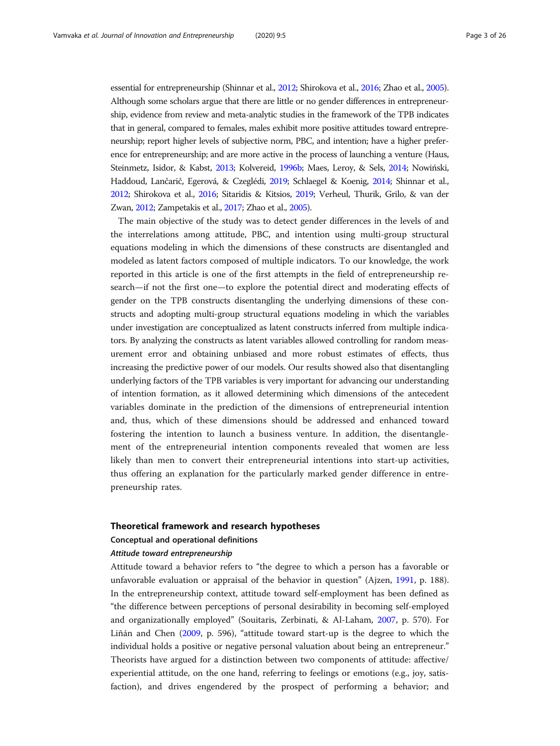essential for entrepreneurship (Shinnar et al., [2012;](#page-24-0) Shirokova et al., [2016;](#page-24-0) Zhao et al., [2005](#page-25-0)). Although some scholars argue that there are little or no gender differences in entrepreneurship, evidence from review and meta-analytic studies in the framework of the TPB indicates that in general, compared to females, males exhibit more positive attitudes toward entrepreneurship; report higher levels of subjective norm, PBC, and intention; have a higher preference for entrepreneurship; and are more active in the process of launching a venture (Haus, Steinmetz, Isidor, & Kabst, [2013](#page-23-0); Kolvereid, [1996b](#page-23-0); Maes, Leroy, & Sels, [2014](#page-24-0); Nowiński, Haddoud, Lančarič, Egerová, & Czeglédi, [2019;](#page-24-0) Schlaegel & Koenig, [2014](#page-24-0); Shinnar et al., [2012;](#page-24-0) Shirokova et al., [2016](#page-24-0); Sitaridis & Kitsios, [2019](#page-24-0); Verheul, Thurik, Grilo, & van der Zwan, [2012](#page-25-0); Zampetakis et al., [2017](#page-25-0); Zhao et al., [2005\)](#page-25-0).

The main objective of the study was to detect gender differences in the levels of and the interrelations among attitude, PBC, and intention using multi-group structural equations modeling in which the dimensions of these constructs are disentangled and modeled as latent factors composed of multiple indicators. To our knowledge, the work reported in this article is one of the first attempts in the field of entrepreneurship research—if not the first one—to explore the potential direct and moderating effects of gender on the TPB constructs disentangling the underlying dimensions of these constructs and adopting multi-group structural equations modeling in which the variables under investigation are conceptualized as latent constructs inferred from multiple indicators. By analyzing the constructs as latent variables allowed controlling for random measurement error and obtaining unbiased and more robust estimates of effects, thus increasing the predictive power of our models. Our results showed also that disentangling underlying factors of the TPB variables is very important for advancing our understanding of intention formation, as it allowed determining which dimensions of the antecedent variables dominate in the prediction of the dimensions of entrepreneurial intention and, thus, which of these dimensions should be addressed and enhanced toward fostering the intention to launch a business venture. In addition, the disentanglement of the entrepreneurial intention components revealed that women are less likely than men to convert their entrepreneurial intentions into start-up activities, thus offering an explanation for the particularly marked gender difference in entrepreneurship rates.

## Theoretical framework and research hypotheses

## Conceptual and operational definitions

# Attitude toward entrepreneurship

Attitude toward a behavior refers to "the degree to which a person has a favorable or unfavorable evaluation or appraisal of the behavior in question" (Ajzen, [1991,](#page-21-0) p. 188). In the entrepreneurship context, attitude toward self-employment has been defined as "the difference between perceptions of personal desirability in becoming self-employed and organizationally employed" (Souitaris, Zerbinati, & Al-Laham, [2007](#page-25-0), p. 570). For Liñán and Chen ([2009](#page-24-0), p. 596), "attitude toward start-up is the degree to which the individual holds a positive or negative personal valuation about being an entrepreneur." Theorists have argued for a distinction between two components of attitude: affective/ experiential attitude, on the one hand, referring to feelings or emotions (e.g., joy, satisfaction), and drives engendered by the prospect of performing a behavior; and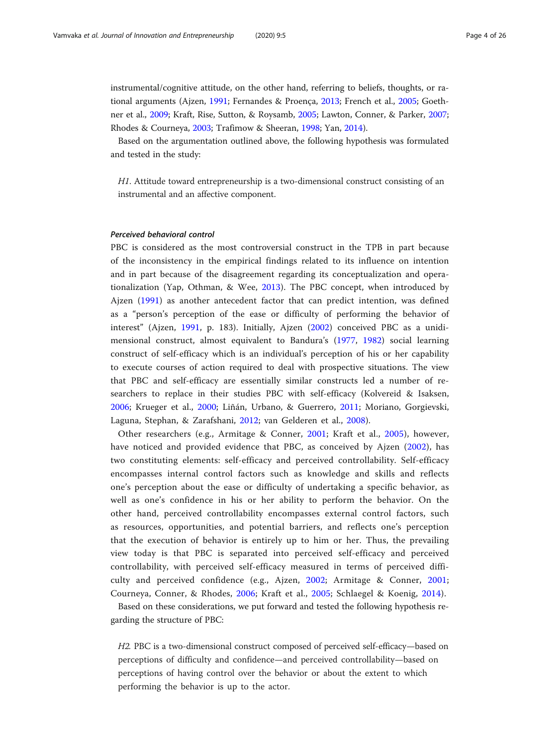instrumental/cognitive attitude, on the other hand, referring to beliefs, thoughts, or rational arguments (Ajzen, [1991](#page-21-0); Fernandes & Proença, [2013](#page-22-0); French et al., [2005](#page-22-0); Goethner et al., [2009;](#page-22-0) Kraft, Rise, Sutton, & Roysamb, [2005;](#page-23-0) Lawton, Conner, & Parker, [2007](#page-23-0); Rhodes & Courneya, [2003;](#page-24-0) Trafimow & Sheeran, [1998](#page-25-0); Yan, [2014](#page-25-0)).

Based on the argumentation outlined above, the following hypothesis was formulated and tested in the study:

H1. Attitude toward entrepreneurship is a two-dimensional construct consisting of an instrumental and an affective component.

# Perceived behavioral control

PBC is considered as the most controversial construct in the TPB in part because of the inconsistency in the empirical findings related to its influence on intention and in part because of the disagreement regarding its conceptualization and operationalization (Yap, Othman, & Wee, [2013\)](#page-25-0). The PBC concept, when introduced by Ajzen ([1991\)](#page-21-0) as another antecedent factor that can predict intention, was defined as a "person's perception of the ease or difficulty of performing the behavior of interest" (Ajzen, [1991,](#page-21-0) p. 183). Initially, Ajzen ([2002\)](#page-21-0) conceived PBC as a unidimensional construct, almost equivalent to Bandura's [\(1977](#page-21-0), [1982](#page-21-0)) social learning construct of self-efficacy which is an individual's perception of his or her capability to execute courses of action required to deal with prospective situations. The view that PBC and self-efficacy are essentially similar constructs led a number of researchers to replace in their studies PBC with self-efficacy (Kolvereid & Isaksen, [2006;](#page-23-0) Krueger et al., [2000](#page-23-0); Liñán, Urbano, & Guerrero, [2011;](#page-24-0) Moriano, Gorgievski, Laguna, Stephan, & Zarafshani, [2012;](#page-24-0) van Gelderen et al., [2008\)](#page-25-0).

Other researchers (e.g., Armitage & Conner, [2001](#page-21-0); Kraft et al., [2005\)](#page-23-0), however, have noticed and provided evidence that PBC, as conceived by Ajzen [\(2002\)](#page-21-0), has two constituting elements: self-efficacy and perceived controllability. Self-efficacy encompasses internal control factors such as knowledge and skills and reflects one's perception about the ease or difficulty of undertaking a specific behavior, as well as one's confidence in his or her ability to perform the behavior. On the other hand, perceived controllability encompasses external control factors, such as resources, opportunities, and potential barriers, and reflects one's perception that the execution of behavior is entirely up to him or her. Thus, the prevailing view today is that PBC is separated into perceived self-efficacy and perceived controllability, with perceived self-efficacy measured in terms of perceived difficulty and perceived confidence (e.g., Ajzen, [2002](#page-21-0); Armitage & Conner, [2001](#page-21-0); Courneya, Conner, & Rhodes, [2006;](#page-22-0) Kraft et al., [2005;](#page-23-0) Schlaegel & Koenig, [2014](#page-24-0)).

Based on these considerations, we put forward and tested the following hypothesis regarding the structure of PBC:

H2. PBC is a two-dimensional construct composed of perceived self-efficacy—based on perceptions of difficulty and confidence—and perceived controllability—based on perceptions of having control over the behavior or about the extent to which performing the behavior is up to the actor.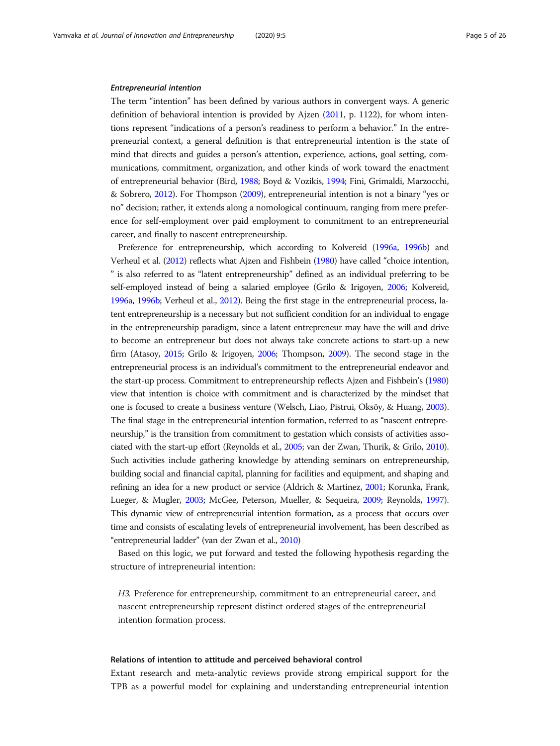## Entrepreneurial intention

The term "intention" has been defined by various authors in convergent ways. A generic definition of behavioral intention is provided by Ajzen [\(2011,](#page-21-0) p. 1122), for whom intentions represent "indications of a person's readiness to perform a behavior." In the entrepreneurial context, a general definition is that entrepreneurial intention is the state of mind that directs and guides a person's attention, experience, actions, goal setting, communications, commitment, organization, and other kinds of work toward the enactment of entrepreneurial behavior (Bird, [1988;](#page-21-0) Boyd & Vozikis, [1994;](#page-22-0) Fini, Grimaldi, Marzocchi, & Sobrero, [2012](#page-22-0)). For Thompson [\(2009\)](#page-25-0), entrepreneurial intention is not a binary "yes or no" decision; rather, it extends along a nomological continuum, ranging from mere preference for self-employment over paid employment to commitment to an entrepreneurial career, and finally to nascent entrepreneurship.

Preference for entrepreneurship, which according to Kolvereid [\(1996a](#page-23-0), [1996b](#page-23-0)) and Verheul et al. ([2012\)](#page-25-0) reflects what Ajzen and Fishbein ([1980\)](#page-21-0) have called "choice intention, " is also referred to as "latent entrepreneurship" defined as an individual preferring to be self-employed instead of being a salaried employee (Grilo & Irigoyen, [2006](#page-23-0); Kolvereid, [1996a,](#page-23-0) [1996b](#page-23-0); Verheul et al., [2012\)](#page-25-0). Being the first stage in the entrepreneurial process, latent entrepreneurship is a necessary but not sufficient condition for an individual to engage in the entrepreneurship paradigm, since a latent entrepreneur may have the will and drive to become an entrepreneur but does not always take concrete actions to start-up a new firm (Atasoy, [2015;](#page-21-0) Grilo & Irigoyen, [2006](#page-23-0); Thompson, [2009](#page-25-0)). The second stage in the entrepreneurial process is an individual's commitment to the entrepreneurial endeavor and the start-up process. Commitment to entrepreneurship reflects Ajzen and Fishbein's [\(1980](#page-21-0)) view that intention is choice with commitment and is characterized by the mindset that one is focused to create a business venture (Welsch, Liao, Pistrui, Oksöy, & Huang, [2003](#page-25-0)). The final stage in the entrepreneurial intention formation, referred to as "nascent entrepreneurship," is the transition from commitment to gestation which consists of activities associated with the start-up effort (Reynolds et al., [2005;](#page-24-0) van der Zwan, Thurik, & Grilo, [2010](#page-25-0)). Such activities include gathering knowledge by attending seminars on entrepreneurship, building social and financial capital, planning for facilities and equipment, and shaping and refining an idea for a new product or service (Aldrich & Martinez, [2001;](#page-21-0) Korunka, Frank, Lueger, & Mugler, [2003](#page-23-0); McGee, Peterson, Mueller, & Sequeira, [2009](#page-24-0); Reynolds, [1997](#page-24-0)). This dynamic view of entrepreneurial intention formation, as a process that occurs over time and consists of escalating levels of entrepreneurial involvement, has been described as "entrepreneurial ladder" (van der Zwan et al., [2010\)](#page-25-0)

Based on this logic, we put forward and tested the following hypothesis regarding the structure of intrepreneurial intention:

H3. Preference for entrepreneurship, commitment to an entrepreneurial career, and nascent entrepreneurship represent distinct ordered stages of the entrepreneurial intention formation process.

# Relations of intention to attitude and perceived behavioral control

Extant research and meta-analytic reviews provide strong empirical support for the TPB as a powerful model for explaining and understanding entrepreneurial intention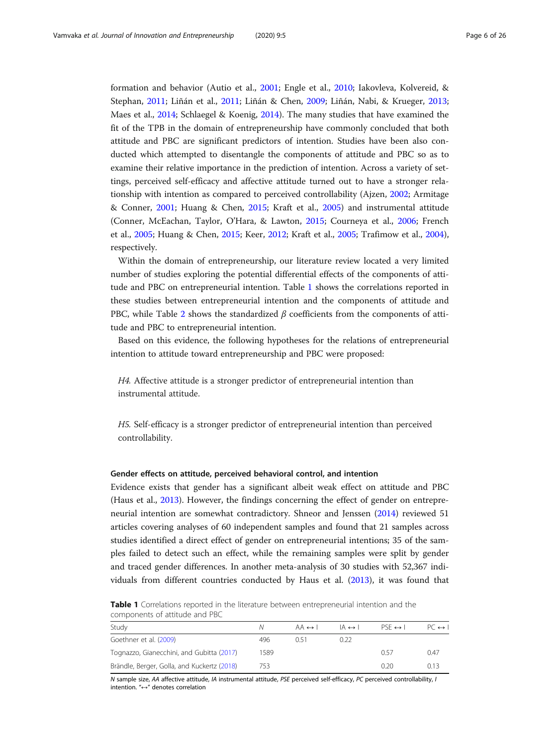<span id="page-5-0"></span>formation and behavior (Autio et al., [2001](#page-21-0); Engle et al., [2010](#page-22-0); Iakovleva, Kolvereid, & Stephan, [2011](#page-23-0); Liñán et al., [2011;](#page-24-0) Liñán & Chen, [2009;](#page-24-0) Liñán, Nabi, & Krueger, [2013](#page-24-0); Maes et al., [2014](#page-24-0); Schlaegel & Koenig, [2014\)](#page-24-0). The many studies that have examined the fit of the TPB in the domain of entrepreneurship have commonly concluded that both attitude and PBC are significant predictors of intention. Studies have been also conducted which attempted to disentangle the components of attitude and PBC so as to examine their relative importance in the prediction of intention. Across a variety of settings, perceived self-efficacy and affective attitude turned out to have a stronger relationship with intention as compared to perceived controllability (Ajzen, [2002](#page-21-0); Armitage & Conner, [2001](#page-21-0); Huang & Chen, [2015;](#page-23-0) Kraft et al., [2005\)](#page-23-0) and instrumental attitude (Conner, McEachan, Taylor, O'Hara, & Lawton, [2015](#page-22-0); Courneya et al., [2006;](#page-22-0) French et al., [2005](#page-22-0); Huang & Chen, [2015](#page-23-0); Keer, [2012;](#page-23-0) Kraft et al., [2005;](#page-23-0) Trafimow et al., [2004](#page-25-0)), respectively.

Within the domain of entrepreneurship, our literature review located a very limited number of studies exploring the potential differential effects of the components of attitude and PBC on entrepreneurial intention. Table 1 shows the correlations reported in these studies between entrepreneurial intention and the components of attitude and PBC, while Table [2](#page-6-0) shows the standardized  $\beta$  coefficients from the components of attitude and PBC to entrepreneurial intention.

Based on this evidence, the following hypotheses for the relations of entrepreneurial intention to attitude toward entrepreneurship and PBC were proposed:

H4. Affective attitude is a stronger predictor of entrepreneurial intention than instrumental attitude.

H5. Self-efficacy is a stronger predictor of entrepreneurial intention than perceived controllability.

## Gender effects on attitude, perceived behavioral control, and intention

Evidence exists that gender has a significant albeit weak effect on attitude and PBC (Haus et al., [2013](#page-23-0)). However, the findings concerning the effect of gender on entrepreneurial intention are somewhat contradictory. Shneor and Jenssen [\(2014](#page-24-0)) reviewed 51 articles covering analyses of 60 independent samples and found that 21 samples across studies identified a direct effect of gender on entrepreneurial intentions; 35 of the samples failed to detect such an effect, while the remaining samples were split by gender and traced gender differences. In another meta-analysis of 30 studies with 52,367 individuals from different countries conducted by Haus et al. [\(2013\)](#page-23-0), it was found that

Table 1 Correlations reported in the literature between entrepreneurial intention and the components of attitude and PBC

| Study                                       | Ν    | $AA \leftrightarrow I$ | $AA \leftrightarrow B$ | $PSF \leftrightarrow I$ | $PC \leftrightarrow 1$ |
|---------------------------------------------|------|------------------------|------------------------|-------------------------|------------------------|
| Goethner et al. (2009)                      | 496  | O 51                   | 0.22                   |                         |                        |
| Tognazzo, Gianecchini, and Gubitta (2017)   | 1589 |                        |                        | 0.57                    | 0.47                   |
| Brändle, Berger, Golla, and Kuckertz (2018) | 753  |                        |                        | 0.20                    | 0.13                   |

N sample size, AA affective attitude, IA instrumental attitude, PSE perceived self-efficacy, PC perceived controllability, I intention. "↔" denotes correlation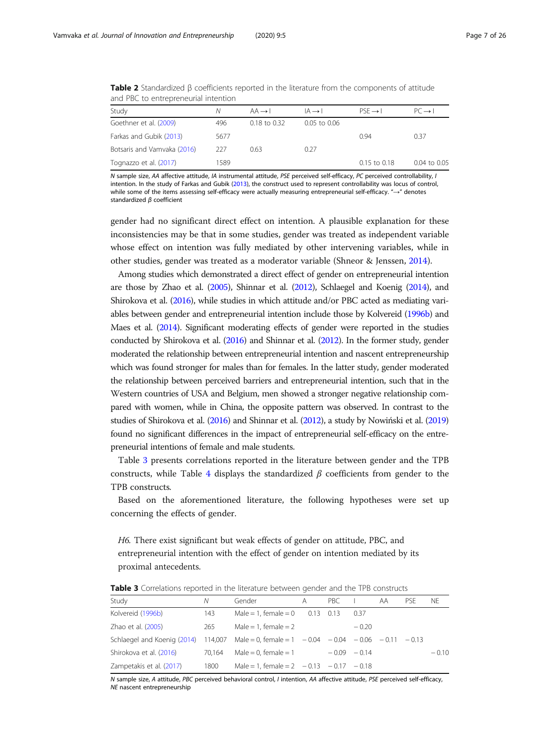Botsaris and Vamvaka [\(2016](#page-21-0)) 227 0.63 0.27

| and PBC to entrepreneurial intention |      |                    |                                      |                     |                    |  |  |  |
|--------------------------------------|------|--------------------|--------------------------------------|---------------------|--------------------|--|--|--|
| Study                                |      | $AA \rightarrow I$ | $\mathsf{IA} \rightarrow \mathsf{I}$ | $PSE \rightarrow 1$ | $PC \rightarrow 1$ |  |  |  |
| Goethner et al. (2009)               | 496  | $0.18$ to $0.32$   | $0.05$ to $0.06$                     |                     |                    |  |  |  |
| Farkas and Gubik (2013)              | 5677 |                    |                                      | O 94                | 037                |  |  |  |

<span id="page-6-0"></span>**Table 2** Standardized β coefficients reported in the literature from the components of attitude

N sample size, AA affective attitude, IA instrumental attitude, PSE perceived self-efficacy, PC perceived controllability, I intention. In the study of Farkas and Gubik [\(2013\)](#page-22-0), the construct used to represent controllability was locus of control, while some of the items assessing self-efficacy were actually measuring entrepreneurial self-efficacy. "→" denotes standardized β coefficient

Tognazzo et al. [\(2017\)](#page-25-0) 1589 0.15 to 0.18 0.04 to 0.05

gender had no significant direct effect on intention. A plausible explanation for these inconsistencies may be that in some studies, gender was treated as independent variable whose effect on intention was fully mediated by other intervening variables, while in other studies, gender was treated as a moderator variable (Shneor & Jenssen, [2014\)](#page-24-0).

Among studies which demonstrated a direct effect of gender on entrepreneurial intention are those by Zhao et al. ([2005](#page-25-0)), Shinnar et al. [\(2012](#page-24-0)), Schlaegel and Koenig [\(2014\)](#page-24-0), and Shirokova et al. [\(2016\)](#page-24-0), while studies in which attitude and/or PBC acted as mediating variables between gender and entrepreneurial intention include those by Kolvereid [\(1996b](#page-23-0)) and Maes et al. [\(2014](#page-24-0)). Significant moderating effects of gender were reported in the studies conducted by Shirokova et al. ([2016](#page-24-0)) and Shinnar et al. [\(2012](#page-24-0)). In the former study, gender moderated the relationship between entrepreneurial intention and nascent entrepreneurship which was found stronger for males than for females. In the latter study, gender moderated the relationship between perceived barriers and entrepreneurial intention, such that in the Western countries of USA and Belgium, men showed a stronger negative relationship compared with women, while in China, the opposite pattern was observed. In contrast to the studies of Shirokova et al. [\(2016](#page-24-0)) and Shinnar et al. ([2012](#page-24-0)), a study by Nowiński et al. ([2019](#page-24-0)) found no significant differences in the impact of entrepreneurial self-efficacy on the entrepreneurial intentions of female and male students.

Table 3 presents correlations reported in the literature between gender and the TPB constructs, while Table [4](#page-7-0) displays the standardized  $\beta$  coefficients from gender to the TPB constructs.

Based on the aforementioned literature, the following hypotheses were set up concerning the effects of gender.

H6. There exist significant but weak effects of gender on attitude, PBC, and entrepreneurial intention with the effect of gender on intention mediated by its proximal antecedents.

| <b>Rable 3</b> Correlations reported in the increature between genuer and the TFD Constructs |        |                                          |   |      |                |    |            |           |
|----------------------------------------------------------------------------------------------|--------|------------------------------------------|---|------|----------------|----|------------|-----------|
| Study                                                                                        | Ν      | Gender                                   | A | PBC. |                | AA | <b>PSF</b> | <b>NE</b> |
| Kolvereid (1996b)                                                                            | 143    | Male = 1. female = $0$ 0.13 0.13         |   |      | - 0.37         |    |            |           |
| Zhao et al. (2005)                                                                           | 265    | Male = 1, female = $2$                   |   |      | $-0.20$        |    |            |           |
| Schlaegel and Koenig (2014) 114,007 Male = 0, female = $1 -0.04 -0.04 -0.06 -0.11 -0.13$     |        |                                          |   |      |                |    |            |           |
| Shirokova et al. (2016)                                                                      | 70.164 | Male = 0. female = $1$                   |   |      | $-0.09 - 0.14$ |    |            | $-0.10$   |
| Zampetakis et al. (2017)                                                                     | 1800   | Male = 1, female = $2 -0.13 -0.17 -0.18$ |   |      |                |    |            |           |

Table 3 Correlations reported in the literature between gender and the TPB constructs

N sample size, A attitude, PBC perceived behavioral control, I intention, AA affective attitude, PSE perceived self-efficacy, NE nascent entrepreneurship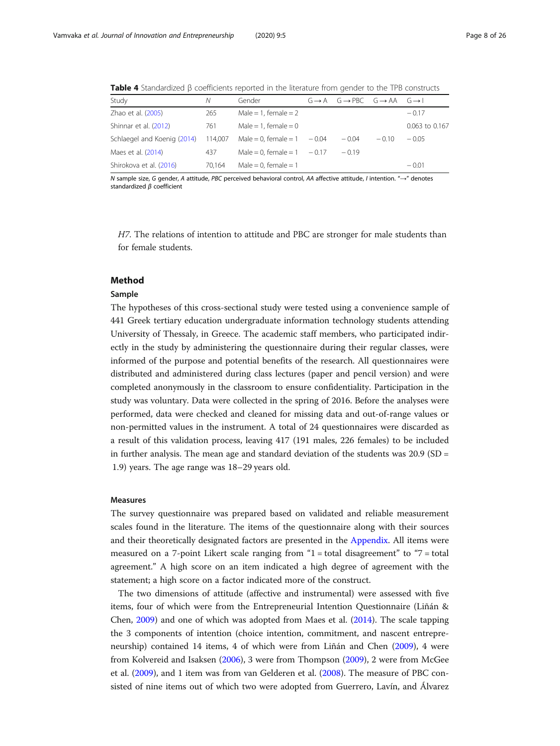| Study                       | Ν       | Gender                 |         | $G \rightarrow A$ $G \rightarrow PBC$ $G \rightarrow AA$ $G \rightarrow I$ |         |                |
|-----------------------------|---------|------------------------|---------|----------------------------------------------------------------------------|---------|----------------|
| Zhao et al. (2005)          | 265     | Male = 1, female = $2$ |         |                                                                            |         | $-0.17$        |
| Shinnar et al. (2012)       | 761     | Male = 1, female = $0$ |         |                                                                            |         | 0.063 to 0.167 |
| Schlaegel and Koenig (2014) | 114.007 | Male = 0. female = $1$ | $-0.04$ | $-0.04$                                                                    | $-0.10$ | $-0.05$        |
| Maes et al. (2014)          | 437     | Male = 0. female = $1$ | $-0.17$ | $-0.19$                                                                    |         |                |
| Shirokova et al. (2016)     | 70.164  | Male = 0, female = $1$ |         |                                                                            |         | $-0.01$        |

<span id="page-7-0"></span>Table 4 Standardized β coefficients reported in the literature from gender to the TPB constructs

N sample size, G gender, A attitude, PBC perceived behavioral control, AA affective attitude, I intention. "→" denotes standardized  $\beta$  coefficient

H7. The relations of intention to attitude and PBC are stronger for male students than for female students.

## Method

## Sample

The hypotheses of this cross-sectional study were tested using a convenience sample of 441 Greek tertiary education undergraduate information technology students attending University of Thessaly, in Greece. The academic staff members, who participated indirectly in the study by administering the questionnaire during their regular classes, were informed of the purpose and potential benefits of the research. All questionnaires were distributed and administered during class lectures (paper and pencil version) and were completed anonymously in the classroom to ensure confidentiality. Participation in the study was voluntary. Data were collected in the spring of 2016. Before the analyses were performed, data were checked and cleaned for missing data and out-of-range values or non-permitted values in the instrument. A total of 24 questionnaires were discarded as a result of this validation process, leaving 417 (191 males, 226 females) to be included in further analysis. The mean age and standard deviation of the students was  $20.9$  (SD = 1.9) years. The age range was 18–29 years old.

## Measures

The survey questionnaire was prepared based on validated and reliable measurement scales found in the literature. The items of the questionnaire along with their sources and their theoretically designated factors are presented in the [Appendix.](#page-20-0) All items were measured on a 7-point Likert scale ranging from  $i$  = total disagreement" to  $i$  = total agreement." A high score on an item indicated a high degree of agreement with the statement; a high score on a factor indicated more of the construct.

The two dimensions of attitude (affective and instrumental) were assessed with five items, four of which were from the Entrepreneurial Intention Questionnaire (Liñán & Chen, [2009\)](#page-24-0) and one of which was adopted from Maes et al. [\(2014\)](#page-24-0). The scale tapping the 3 components of intention (choice intention, commitment, and nascent entrepreneurship) contained 14 items, 4 of which were from Liñán and Chen [\(2009\)](#page-24-0), 4 were from Kolvereid and Isaksen [\(2006\)](#page-23-0), 3 were from Thompson [\(2009](#page-25-0)), 2 were from McGee et al. [\(2009](#page-24-0)), and 1 item was from van Gelderen et al. ([2008](#page-25-0)). The measure of PBC consisted of nine items out of which two were adopted from Guerrero, Lavín, and Álvarez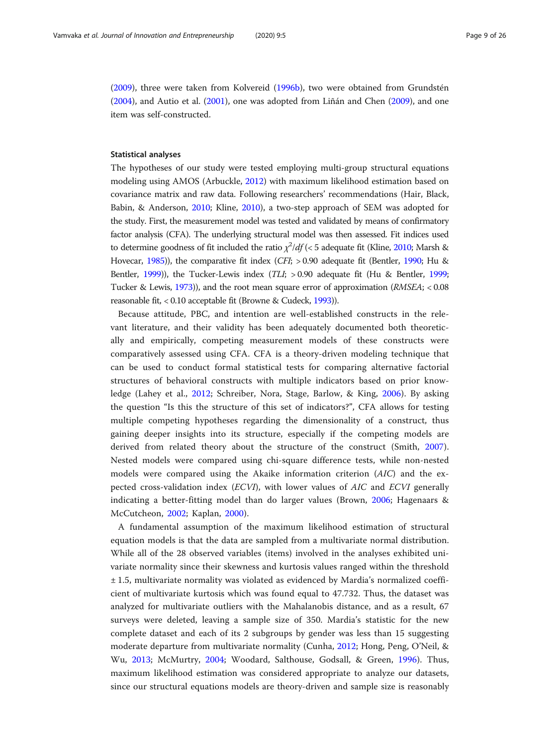([2009](#page-23-0)), three were taken from Kolvereid [\(1996b](#page-23-0)), two were obtained from Grundstén ([2004](#page-23-0)), and Autio et al. ([2001](#page-21-0)), one was adopted from Liñán and Chen [\(2009\)](#page-24-0), and one item was self-constructed.

# Statistical analyses

The hypotheses of our study were tested employing multi-group structural equations modeling using AMOS (Arbuckle, [2012\)](#page-21-0) with maximum likelihood estimation based on covariance matrix and raw data. Following researchers' recommendations (Hair, Black, Babin, & Anderson, [2010;](#page-23-0) Kline, [2010\)](#page-23-0), a two-step approach of SEM was adopted for the study. First, the measurement model was tested and validated by means of confirmatory factor analysis (CFA). The underlying structural model was then assessed. Fit indices used to determine goodness of fit included the ratio  $\chi^2/df$  (< 5 adequate fit (Kline, [2010;](#page-23-0) Marsh & Hovecar, [1985](#page-24-0))), the comparative fit index (CFI; > 0.90 adequate fit (Bentler, [1990](#page-21-0); Hu & Bentler, [1999](#page-23-0))), the Tucker-Lewis index (TLI; > 0.90 adequate fit (Hu & Bentler, 1999; Tucker & Lewis, [1973\)](#page-25-0)), and the root mean square error of approximation (RMSEA; < 0.08 reasonable fit, < 0.10 acceptable fit (Browne & Cudeck, [1993\)](#page-22-0)).

Because attitude, PBC, and intention are well-established constructs in the relevant literature, and their validity has been adequately documented both theoretically and empirically, competing measurement models of these constructs were comparatively assessed using CFA. CFA is a theory-driven modeling technique that can be used to conduct formal statistical tests for comparing alternative factorial structures of behavioral constructs with multiple indicators based on prior knowledge (Lahey et al., [2012](#page-23-0); Schreiber, Nora, Stage, Barlow, & King, [2006\)](#page-24-0). By asking the question "Is this the structure of this set of indicators?", CFA allows for testing multiple competing hypotheses regarding the dimensionality of a construct, thus gaining deeper insights into its structure, especially if the competing models are derived from related theory about the structure of the construct (Smith, [2007](#page-25-0)). Nested models were compared using chi-square difference tests, while non-nested models were compared using the Akaike information criterion (AIC) and the expected cross-validation index (ECVI), with lower values of AIC and ECVI generally indicating a better-fitting model than do larger values (Brown, [2006](#page-22-0); Hagenaars & McCutcheon, [2002;](#page-23-0) Kaplan, [2000](#page-23-0)).

A fundamental assumption of the maximum likelihood estimation of structural equation models is that the data are sampled from a multivariate normal distribution. While all of the 28 observed variables (items) involved in the analyses exhibited univariate normality since their skewness and kurtosis values ranged within the threshold ± 1.5, multivariate normality was violated as evidenced by Mardia's normalized coefficient of multivariate kurtosis which was found equal to 47.732. Thus, the dataset was analyzed for multivariate outliers with the Mahalanobis distance, and as a result, 67 surveys were deleted, leaving a sample size of 350. Mardia's statistic for the new complete dataset and each of its 2 subgroups by gender was less than 15 suggesting moderate departure from multivariate normality (Cunha, [2012;](#page-22-0) Hong, Peng, O'Neil, & Wu, [2013](#page-23-0); McMurtry, [2004;](#page-24-0) Woodard, Salthouse, Godsall, & Green, [1996\)](#page-25-0). Thus, maximum likelihood estimation was considered appropriate to analyze our datasets, since our structural equations models are theory-driven and sample size is reasonably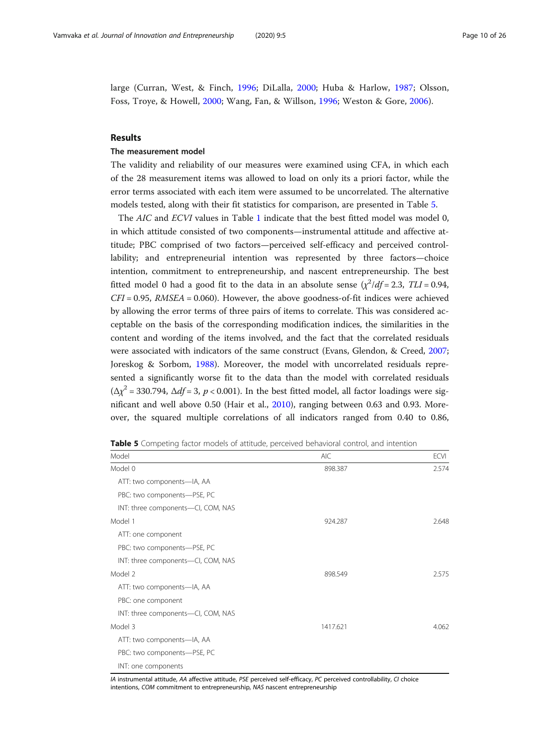large (Curran, West, & Finch, [1996;](#page-22-0) DiLalla, [2000](#page-22-0); Huba & Harlow, [1987;](#page-23-0) Olsson, Foss, Troye, & Howell, [2000;](#page-24-0) Wang, Fan, & Willson, [1996](#page-25-0); Weston & Gore, [2006\)](#page-25-0).

# Results

# The measurement model

The validity and reliability of our measures were examined using CFA, in which each of the 28 measurement items was allowed to load on only its a priori factor, while the error terms associated with each item were assumed to be uncorrelated. The alternative models tested, along with their fit statistics for comparison, are presented in Table 5.

The AIC and ECVI values in Table [1](#page-5-0) indicate that the best fitted model was model 0, in which attitude consisted of two components—instrumental attitude and affective attitude; PBC comprised of two factors—perceived self-efficacy and perceived controllability; and entrepreneurial intention was represented by three factors—choice intention, commitment to entrepreneurship, and nascent entrepreneurship. The best fitted model 0 had a good fit to the data in an absolute sense  $(\chi^2/df = 2.3, TLI = 0.94,$  $CFI = 0.95$ ,  $RMSEA = 0.060$ . However, the above goodness-of-fit indices were achieved by allowing the error terms of three pairs of items to correlate. This was considered acceptable on the basis of the corresponding modification indices, the similarities in the content and wording of the items involved, and the fact that the correlated residuals were associated with indicators of the same construct (Evans, Glendon, & Creed, [2007](#page-22-0); Joreskog & Sorbom, [1988\)](#page-23-0). Moreover, the model with uncorrelated residuals represented a significantly worse fit to the data than the model with correlated residuals  $(\Delta \chi^2 = 330.794, \Delta df = 3, p < 0.001)$ . In the best fitted model, all factor loadings were significant and well above 0.50 (Hair et al., [2010](#page-23-0)), ranging between 0.63 and 0.93. Moreover, the squared multiple correlations of all indicators ranged from 0.40 to 0.86,

| Model                              | AIC      | <b>ECVI</b> |
|------------------------------------|----------|-------------|
| Model 0                            | 898.387  | 2.574       |
| ATT: two components-IA, AA         |          |             |
| PBC: two components-PSE, PC        |          |             |
| INT: three components-CI, COM, NAS |          |             |
| Model 1                            | 924.287  | 2.648       |
| ATT: one component                 |          |             |
| PBC: two components-PSE, PC        |          |             |
| INT: three components-CI, COM, NAS |          |             |
| Model 2                            | 898.549  | 2.575       |
| ATT: two components-IA, AA         |          |             |
| PBC: one component                 |          |             |
| INT: three components-CI, COM, NAS |          |             |
| Model 3                            | 1417.621 | 4.062       |
| ATT: two components-IA, AA         |          |             |
| PBC: two components-PSE, PC        |          |             |
| INT: one components                |          |             |

Table 5 Competing factor models of attitude, perceived behavioral control, and intention

IA instrumental attitude, AA affective attitude, PSE perceived self-efficacy, PC perceived controllability, CI choice intentions, COM commitment to entrepreneurship, NAS nascent entrepreneurship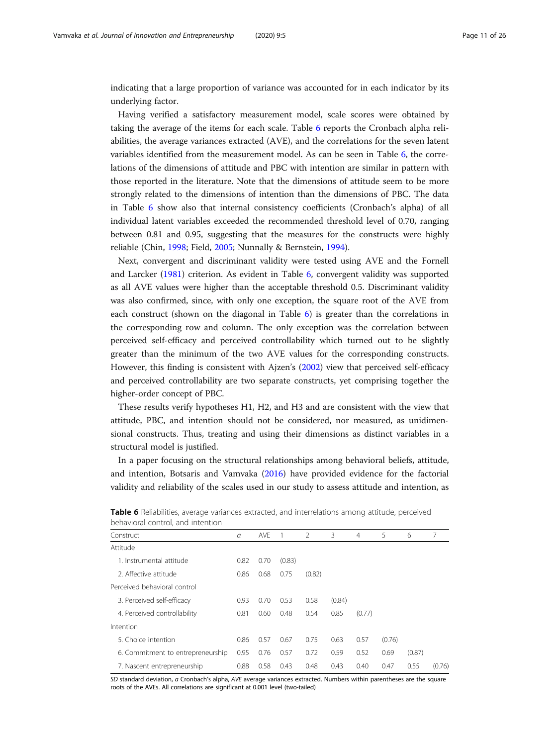indicating that a large proportion of variance was accounted for in each indicator by its underlying factor.

Having verified a satisfactory measurement model, scale scores were obtained by taking the average of the items for each scale. Table 6 reports the Cronbach alpha reliabilities, the average variances extracted (AVE), and the correlations for the seven latent variables identified from the measurement model. As can be seen in Table 6, the correlations of the dimensions of attitude and PBC with intention are similar in pattern with those reported in the literature. Note that the dimensions of attitude seem to be more strongly related to the dimensions of intention than the dimensions of PBC. The data in Table 6 show also that internal consistency coefficients (Cronbach's alpha) of all individual latent variables exceeded the recommended threshold level of 0.70, ranging between 0.81 and 0.95, suggesting that the measures for the constructs were highly reliable (Chin, [1998](#page-22-0); Field, [2005;](#page-22-0) Nunnally & Bernstein, [1994\)](#page-24-0).

Next, convergent and discriminant validity were tested using AVE and the Fornell and Larcker ([1981](#page-22-0)) criterion. As evident in Table 6, convergent validity was supported as all AVE values were higher than the acceptable threshold 0.5. Discriminant validity was also confirmed, since, with only one exception, the square root of the AVE from each construct (shown on the diagonal in Table 6) is greater than the correlations in the corresponding row and column. The only exception was the correlation between perceived self-efficacy and perceived controllability which turned out to be slightly greater than the minimum of the two AVE values for the corresponding constructs. However, this finding is consistent with Ajzen's ([2002\)](#page-21-0) view that perceived self-efficacy and perceived controllability are two separate constructs, yet comprising together the higher-order concept of PBC.

These results verify hypotheses H1, H2, and H3 and are consistent with the view that attitude, PBC, and intention should not be considered, nor measured, as unidimensional constructs. Thus, treating and using their dimensions as distinct variables in a structural model is justified.

In a paper focusing on the structural relationships among behavioral beliefs, attitude, and intention, Botsaris and Vamvaka ([2016](#page-21-0)) have provided evidence for the factorial validity and reliability of the scales used in our study to assess attitude and intention, as

| behavioral control, and intention |          |            |        |                |        |        |        |        |        |
|-----------------------------------|----------|------------|--------|----------------|--------|--------|--------|--------|--------|
| Construct                         | $\alpha$ | <b>AVE</b> |        | $\mathfrak{D}$ | 3      | 4      | 5      | 6      | 7      |
| Attitude                          |          |            |        |                |        |        |        |        |        |
| 1. Instrumental attitude          | 0.82     | 0.70       | (0.83) |                |        |        |        |        |        |
| 2. Affective attitude             | 0.86     | 0.68       | 0.75   | (0.82)         |        |        |        |        |        |
| Perceived behavioral control      |          |            |        |                |        |        |        |        |        |
| 3. Perceived self-efficacy        | 0.93     | 0.70       | 0.53   | 0.58           | (0.84) |        |        |        |        |
| 4. Perceived controllability      | 0.81     | 0.60       | 0.48   | 0.54           | 0.85   | (0.77) |        |        |        |
| Intention                         |          |            |        |                |        |        |        |        |        |
| 5. Choice intention               | 0.86     | 0.57       | 0.67   | 0.75           | 0.63   | 0.57   | (0.76) |        |        |
| 6. Commitment to entrepreneurship | 0.95     | 0.76       | 0.57   | 0.72           | 0.59   | 0.52   | 0.69   | (0.87) |        |
| 7. Nascent entrepreneurship       | 0.88     | 0.58       | 0.43   | 0.48           | 0.43   | 0.40   | 0.47   | 0.55   | (0.76) |

Table 6 Reliabilities, average variances extracted, and interrelations among attitude, perceived behavioral control, and intention

SD standard deviation, α Cronbach's alpha, AVE average variances extracted. Numbers within parentheses are the square roots of the AVEs. All correlations are significant at 0.001 level (two-tailed)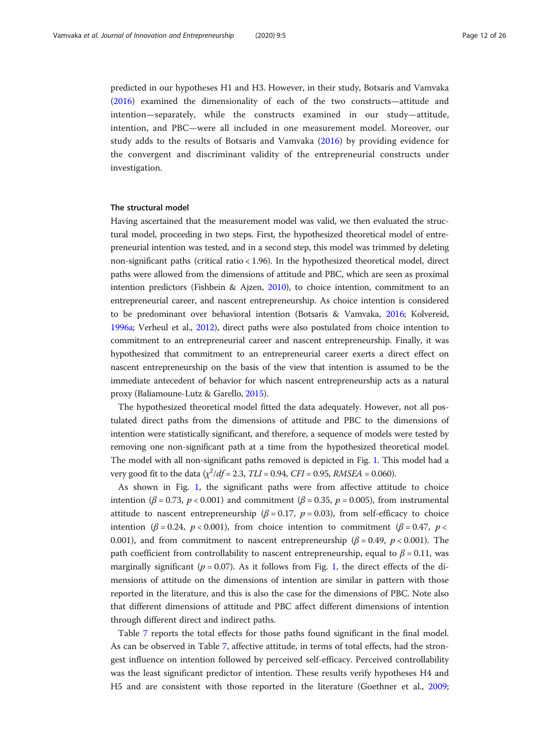predicted in our hypotheses H1 and H3. However, in their study, Botsaris and Vamvaka ([2016](#page-21-0)) examined the dimensionality of each of the two constructs—attitude and intention—separately, while the constructs examined in our study—attitude, intention, and PBC—were all included in one measurement model. Moreover, our study adds to the results of Botsaris and Vamvaka [\(2016](#page-21-0)) by providing evidence for the convergent and discriminant validity of the entrepreneurial constructs under investigation.

# The structural model

Having ascertained that the measurement model was valid, we then evaluated the structural model, proceeding in two steps. First, the hypothesized theoretical model of entrepreneurial intention was tested, and in a second step, this model was trimmed by deleting non-significant paths (critical ratio < 1.96). In the hypothesized theoretical model, direct paths were allowed from the dimensions of attitude and PBC, which are seen as proximal intention predictors (Fishbein & Ajzen, [2010](#page-22-0)), to choice intention, commitment to an entrepreneurial career, and nascent entrepreneurship. As choice intention is considered to be predominant over behavioral intention (Botsaris & Vamvaka, [2016;](#page-21-0) Kolvereid, [1996a](#page-23-0); Verheul et al., [2012\)](#page-25-0), direct paths were also postulated from choice intention to commitment to an entrepreneurial career and nascent entrepreneurship. Finally, it was hypothesized that commitment to an entrepreneurial career exerts a direct effect on nascent entrepreneurship on the basis of the view that intention is assumed to be the immediate antecedent of behavior for which nascent entrepreneurship acts as a natural proxy (Baliamoune-Lutz & Garello, [2015\)](#page-21-0).

The hypothesized theoretical model fitted the data adequately. However, not all postulated direct paths from the dimensions of attitude and PBC to the dimensions of intention were statistically significant, and therefore, a sequence of models were tested by removing one non-significant path at a time from the hypothesized theoretical model. The model with all non-significant paths removed is depicted in Fig. [1.](#page-12-0) This model had a very good fit to the data  $(\chi^2/df = 2.3, TLI = 0.94, CFI = 0.95, RMSEA = 0.060)$ .

As shown in Fig. [1,](#page-12-0) the significant paths were from affective attitude to choice intention ( $\beta$  = 0.73,  $p$  < 0.001) and commitment ( $\beta$  = 0.35,  $p$  = 0.005), from instrumental attitude to nascent entrepreneurship ( $\beta$  = 0.17, p = 0.03), from self-efficacy to choice intention ( $\beta = 0.24$ ,  $p < 0.001$ ), from choice intention to commitment ( $\beta = 0.47$ ,  $p <$ 0.001), and from commitment to nascent entrepreneurship ( $\beta$  = 0.49, p < 0.001). The path coefficient from controllability to nascent entrepreneurship, equal to  $\beta = 0.11$ , was marginally significant ( $p = 0.07$ ). As it follows from Fig. [1,](#page-12-0) the direct effects of the dimensions of attitude on the dimensions of intention are similar in pattern with those reported in the literature, and this is also the case for the dimensions of PBC. Note also that different dimensions of attitude and PBC affect different dimensions of intention through different direct and indirect paths.

Table [7](#page-13-0) reports the total effects for those paths found significant in the final model. As can be observed in Table [7](#page-13-0), affective attitude, in terms of total effects, had the strongest influence on intention followed by perceived self-efficacy. Perceived controllability was the least significant predictor of intention. These results verify hypotheses H4 and H5 and are consistent with those reported in the literature (Goethner et al., [2009](#page-22-0);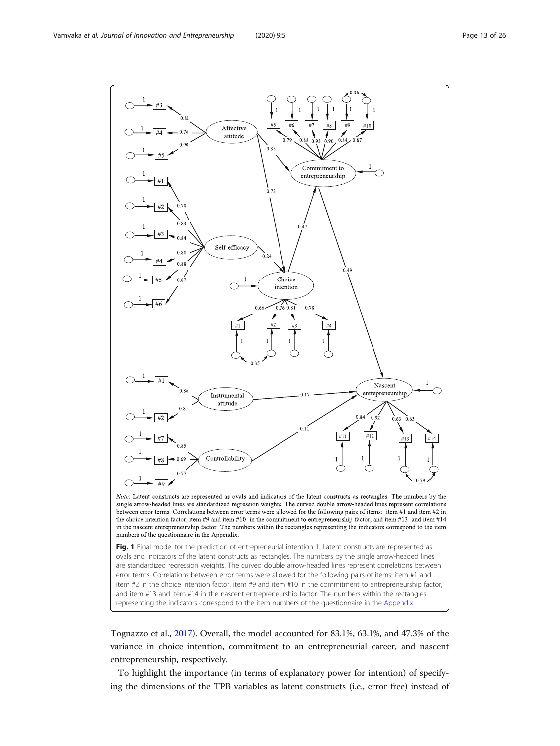<span id="page-12-0"></span>

Tognazzo et al., [2017\)](#page-25-0). Overall, the model accounted for 83.1%, 63.1%, and 47.3% of the variance in choice intention, commitment to an entrepreneurial career, and nascent entrepreneurship, respectively.

To highlight the importance (in terms of explanatory power for intention) of specifying the dimensions of the TPB variables as latent constructs (i.e., error free) instead of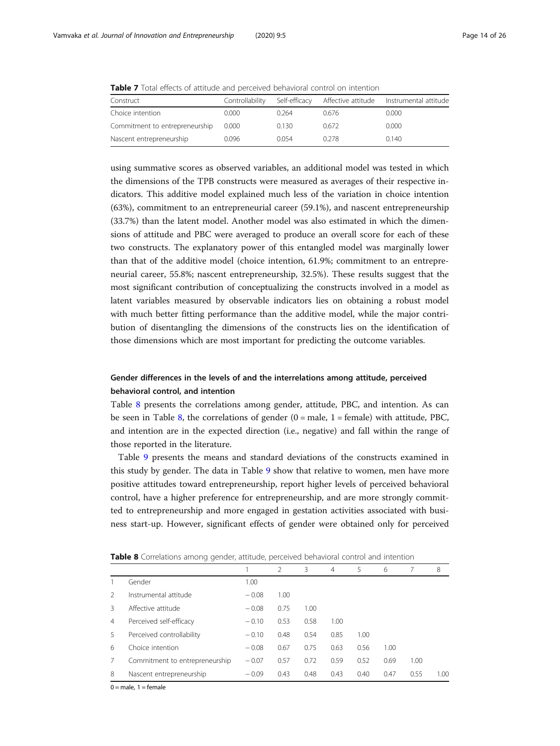| <b>I WAS A</b> TU CONTROLLED OF MILITARY WITH PUTCHTUM MUTTOTION COTTLINUT OTT INTERFERING |                 |       |                                  |                       |  |  |
|--------------------------------------------------------------------------------------------|-----------------|-------|----------------------------------|-----------------------|--|--|
| Construct                                                                                  | Controllability |       | Self-efficacy Affective attitude | Instrumental attitude |  |  |
| Choice intention                                                                           | 0.000           | 0.264 | 0676                             | 0.000                 |  |  |
| Commitment to entrepreneurship                                                             | 0.000           | 0.130 | 0.672                            | 0.000                 |  |  |
| Nascent entrepreneurship                                                                   | 0.096           | 0054  | 0.278                            | 0.140                 |  |  |

<span id="page-13-0"></span>**Table 7** Total effects of attitude and perceived behavioral control on intention

using summative scores as observed variables, an additional model was tested in which the dimensions of the TPB constructs were measured as averages of their respective indicators. This additive model explained much less of the variation in choice intention (63%), commitment to an entrepreneurial career (59.1%), and nascent entrepreneurship (33.7%) than the latent model. Another model was also estimated in which the dimensions of attitude and PBC were averaged to produce an overall score for each of these two constructs. The explanatory power of this entangled model was marginally lower than that of the additive model (choice intention, 61.9%; commitment to an entrepreneurial career, 55.8%; nascent entrepreneurship, 32.5%). These results suggest that the most significant contribution of conceptualizing the constructs involved in a model as latent variables measured by observable indicators lies on obtaining a robust model with much better fitting performance than the additive model, while the major contribution of disentangling the dimensions of the constructs lies on the identification of those dimensions which are most important for predicting the outcome variables.

# Gender differences in the levels of and the interrelations among attitude, perceived behavioral control, and intention

Table 8 presents the correlations among gender, attitude, PBC, and intention. As can be seen in Table 8, the correlations of gender  $(0 = male, 1 = female)$  with attitude, PBC, and intention are in the expected direction (i.e., negative) and fall within the range of those reported in the literature.

Table [9](#page-14-0) presents the means and standard deviations of the constructs examined in this study by gender. The data in Table [9](#page-14-0) show that relative to women, men have more positive attitudes toward entrepreneurship, report higher levels of perceived behavioral control, have a higher preference for entrepreneurship, and are more strongly committed to entrepreneurship and more engaged in gestation activities associated with business start-up. However, significant effects of gender were obtained only for perceived

|                |                                |         | 2    | 3    | 4    | 5.   | 6    |      | 8    |
|----------------|--------------------------------|---------|------|------|------|------|------|------|------|
|                | Gender                         | 1.00    |      |      |      |      |      |      |      |
| $\mathcal{P}$  | Instrumental attitude          | $-0.08$ | 1.00 |      |      |      |      |      |      |
| 3              | Affective attitude             | $-0.08$ | 0.75 | 1.00 |      |      |      |      |      |
| 4              | Perceived self-efficacy        | $-0.10$ | 0.53 | 0.58 | 1.00 |      |      |      |      |
| 5              | Perceived controllability      | $-0.10$ | 0.48 | 0.54 | 0.85 | 1.00 |      |      |      |
| 6              | Choice intention               | $-0.08$ | 0.67 | 0.75 | 0.63 | 0.56 | 1.00 |      |      |
| $\overline{7}$ | Commitment to entrepreneurship | $-0.07$ | 0.57 | 0.72 | 0.59 | 0.52 | 0.69 | 1.00 |      |
| 8              | Nascent entrepreneurship       | $-0.09$ | 0.43 | 0.48 | 0.43 | 0.40 | 0.47 | 0.55 | 1.00 |

Table 8 Correlations among gender, attitude, perceived behavioral control and intention

 $0 =$ male,  $1 =$  female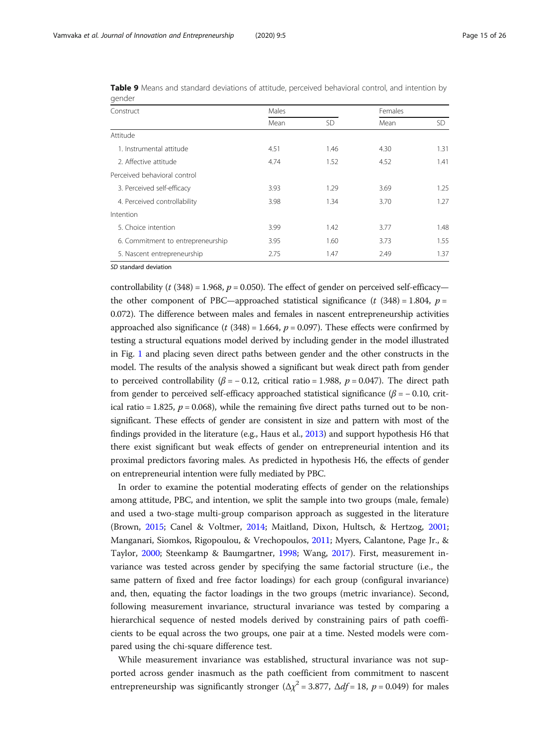| Construct                         | Males |      | Females |      |  |
|-----------------------------------|-------|------|---------|------|--|
|                                   | Mean  | SD.  | Mean    | SD   |  |
| Attitude                          |       |      |         |      |  |
| 1. Instrumental attitude          | 4.51  | 1.46 | 4.30    | 1.31 |  |
| 2. Affective attitude             | 4.74  | 1.52 | 4.52    | 1.41 |  |
| Perceived behavioral control      |       |      |         |      |  |
| 3. Perceived self-efficacy        | 3.93  | 1.29 | 3.69    | 1.25 |  |
| 4. Perceived controllability      | 3.98  | 1.34 | 3.70    | 1.27 |  |
| Intention                         |       |      |         |      |  |
| 5. Choice intention               | 3.99  | 1.42 | 3.77    | 1.48 |  |
| 6. Commitment to entrepreneurship | 3.95  | 1.60 | 3.73    | 1.55 |  |
| 5. Nascent entrepreneurship       | 2.75  | 1.47 | 2.49    | 1.37 |  |

<span id="page-14-0"></span>Table 9 Means and standard deviations of attitude, perceived behavioral control, and intention by gender

SD standard deviation

controllability (t (348) = 1.968,  $p = 0.050$ ). The effect of gender on perceived self-efficacy the other component of PBC—approached statistical significance (t (348) = 1.804,  $p =$ 0.072). The difference between males and females in nascent entrepreneurship activities approached also significance (t  $(348) = 1.664$ ,  $p = 0.097$ ). These effects were confirmed by testing a structural equations model derived by including gender in the model illustrated in Fig. [1](#page-12-0) and placing seven direct paths between gender and the other constructs in the model. The results of the analysis showed a significant but weak direct path from gender to perceived controllability ( $\beta$  = -0.12, critical ratio = 1.988,  $p$  = 0.047). The direct path from gender to perceived self-efficacy approached statistical significance ( $\beta$  = -0.10, critical ratio = 1.825,  $p = 0.068$ ), while the remaining five direct paths turned out to be nonsignificant. These effects of gender are consistent in size and pattern with most of the findings provided in the literature (e.g., Haus et al., [2013](#page-23-0)) and support hypothesis H6 that there exist significant but weak effects of gender on entrepreneurial intention and its proximal predictors favoring males. As predicted in hypothesis H6, the effects of gender on entrepreneurial intention were fully mediated by PBC.

In order to examine the potential moderating effects of gender on the relationships among attitude, PBC, and intention, we split the sample into two groups (male, female) and used a two-stage multi-group comparison approach as suggested in the literature (Brown, [2015](#page-22-0); Canel & Voltmer, [2014](#page-22-0); Maitland, Dixon, Hultsch, & Hertzog, [2001](#page-24-0); Manganari, Siomkos, Rigopoulou, & Vrechopoulos, [2011](#page-24-0); Myers, Calantone, Page Jr., & Taylor, [2000](#page-24-0); Steenkamp & Baumgartner, [1998](#page-25-0); Wang, [2017\)](#page-25-0). First, measurement invariance was tested across gender by specifying the same factorial structure (i.e., the same pattern of fixed and free factor loadings) for each group (configural invariance) and, then, equating the factor loadings in the two groups (metric invariance). Second, following measurement invariance, structural invariance was tested by comparing a hierarchical sequence of nested models derived by constraining pairs of path coefficients to be equal across the two groups, one pair at a time. Nested models were compared using the chi-square difference test.

While measurement invariance was established, structural invariance was not supported across gender inasmuch as the path coefficient from commitment to nascent entrepreneurship was significantly stronger ( $\Delta \chi^2$  = 3.877,  $\Delta df$  = 18, p = 0.049) for males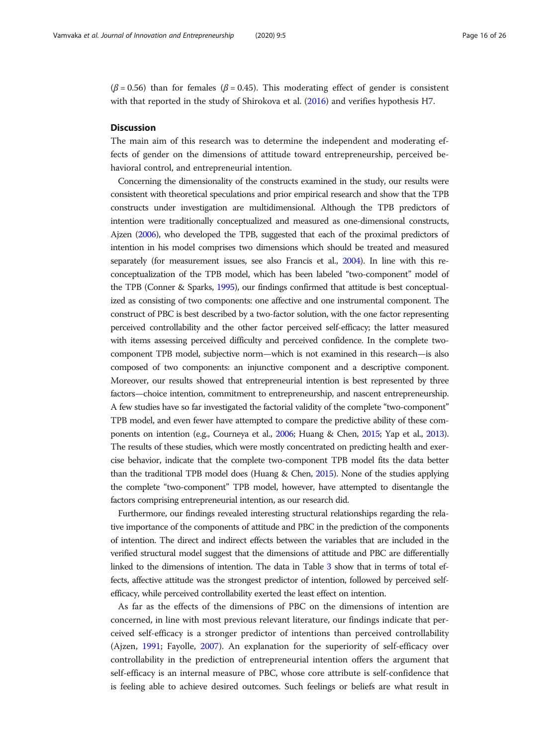$(\beta = 0.56)$  than for females ( $\beta = 0.45$ ). This moderating effect of gender is consistent with that reported in the study of Shirokova et al. ([2016\)](#page-24-0) and verifies hypothesis H7.

# **Discussion**

The main aim of this research was to determine the independent and moderating effects of gender on the dimensions of attitude toward entrepreneurship, perceived behavioral control, and entrepreneurial intention.

Concerning the dimensionality of the constructs examined in the study, our results were consistent with theoretical speculations and prior empirical research and show that the TPB constructs under investigation are multidimensional. Although the TPB predictors of intention were traditionally conceptualized and measured as one-dimensional constructs, Ajzen [\(2006\)](#page-21-0), who developed the TPB, suggested that each of the proximal predictors of intention in his model comprises two dimensions which should be treated and measured separately (for measurement issues, see also Francis et al., [2004](#page-22-0)). In line with this reconceptualization of the TPB model, which has been labeled "two-component" model of the TPB (Conner & Sparks, [1995\)](#page-22-0), our findings confirmed that attitude is best conceptualized as consisting of two components: one affective and one instrumental component. The construct of PBC is best described by a two-factor solution, with the one factor representing perceived controllability and the other factor perceived self-efficacy; the latter measured with items assessing perceived difficulty and perceived confidence. In the complete twocomponent TPB model, subjective norm—which is not examined in this research—is also composed of two components: an injunctive component and a descriptive component. Moreover, our results showed that entrepreneurial intention is best represented by three factors—choice intention, commitment to entrepreneurship, and nascent entrepreneurship. A few studies have so far investigated the factorial validity of the complete "two-component" TPB model, and even fewer have attempted to compare the predictive ability of these components on intention (e.g., Courneya et al., [2006](#page-22-0); Huang & Chen, [2015](#page-23-0); Yap et al., [2013](#page-25-0)). The results of these studies, which were mostly concentrated on predicting health and exercise behavior, indicate that the complete two-component TPB model fits the data better than the traditional TPB model does (Huang & Chen, [2015\)](#page-23-0). None of the studies applying the complete "two-component" TPB model, however, have attempted to disentangle the factors comprising entrepreneurial intention, as our research did.

Furthermore, our findings revealed interesting structural relationships regarding the relative importance of the components of attitude and PBC in the prediction of the components of intention. The direct and indirect effects between the variables that are included in the verified structural model suggest that the dimensions of attitude and PBC are differentially linked to the dimensions of intention. The data in Table [3](#page-6-0) show that in terms of total effects, affective attitude was the strongest predictor of intention, followed by perceived selfefficacy, while perceived controllability exerted the least effect on intention.

As far as the effects of the dimensions of PBC on the dimensions of intention are concerned, in line with most previous relevant literature, our findings indicate that perceived self-efficacy is a stronger predictor of intentions than perceived controllability (Ajzen, [1991;](#page-21-0) Fayolle, [2007\)](#page-22-0). An explanation for the superiority of self-efficacy over controllability in the prediction of entrepreneurial intention offers the argument that self-efficacy is an internal measure of PBC, whose core attribute is self-confidence that is feeling able to achieve desired outcomes. Such feelings or beliefs are what result in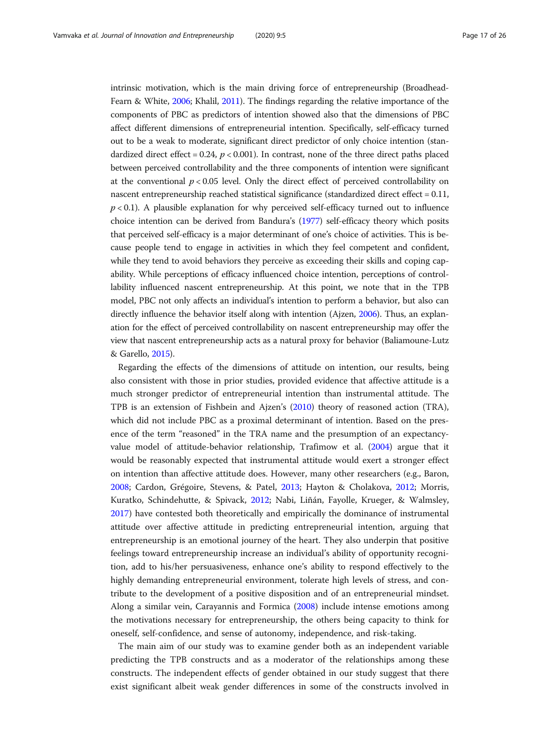intrinsic motivation, which is the main driving force of entrepreneurship (Broadhead-Fearn & White, [2006](#page-22-0); Khalil, [2011](#page-23-0)). The findings regarding the relative importance of the components of PBC as predictors of intention showed also that the dimensions of PBC affect different dimensions of entrepreneurial intention. Specifically, self-efficacy turned out to be a weak to moderate, significant direct predictor of only choice intention (standardized direct effect =  $0.24$ ,  $p < 0.001$ ). In contrast, none of the three direct paths placed between perceived controllability and the three components of intention were significant at the conventional  $p < 0.05$  level. Only the direct effect of perceived controllability on nascent entrepreneurship reached statistical significance (standardized direct effect = 0.11,  $p < 0.1$ ). A plausible explanation for why perceived self-efficacy turned out to influence choice intention can be derived from Bandura's ([1977](#page-21-0)) self-efficacy theory which posits that perceived self-efficacy is a major determinant of one's choice of activities. This is because people tend to engage in activities in which they feel competent and confident, while they tend to avoid behaviors they perceive as exceeding their skills and coping capability. While perceptions of efficacy influenced choice intention, perceptions of controllability influenced nascent entrepreneurship. At this point, we note that in the TPB model, PBC not only affects an individual's intention to perform a behavior, but also can directly influence the behavior itself along with intention (Ajzen, [2006\)](#page-21-0). Thus, an explanation for the effect of perceived controllability on nascent entrepreneurship may offer the view that nascent entrepreneurship acts as a natural proxy for behavior (Baliamoune-Lutz & Garello, [2015\)](#page-21-0).

Regarding the effects of the dimensions of attitude on intention, our results, being also consistent with those in prior studies, provided evidence that affective attitude is a much stronger predictor of entrepreneurial intention than instrumental attitude. The TPB is an extension of Fishbein and Ajzen's ([2010](#page-22-0)) theory of reasoned action (TRA), which did not include PBC as a proximal determinant of intention. Based on the presence of the term "reasoned" in the TRA name and the presumption of an expectancyvalue model of attitude-behavior relationship, Trafimow et al. ([2004](#page-25-0)) argue that it would be reasonably expected that instrumental attitude would exert a stronger effect on intention than affective attitude does. However, many other researchers (e.g., Baron, [2008](#page-21-0); Cardon, Grégoire, Stevens, & Patel, [2013;](#page-22-0) Hayton & Cholakova, [2012;](#page-23-0) Morris, Kuratko, Schindehutte, & Spivack, [2012;](#page-24-0) Nabi, Liñán, Fayolle, Krueger, & Walmsley, [2017](#page-24-0)) have contested both theoretically and empirically the dominance of instrumental attitude over affective attitude in predicting entrepreneurial intention, arguing that entrepreneurship is an emotional journey of the heart. They also underpin that positive feelings toward entrepreneurship increase an individual's ability of opportunity recognition, add to his/her persuasiveness, enhance one's ability to respond effectively to the highly demanding entrepreneurial environment, tolerate high levels of stress, and contribute to the development of a positive disposition and of an entrepreneurial mindset. Along a similar vein, Carayannis and Formica ([2008](#page-22-0)) include intense emotions among the motivations necessary for entrepreneurship, the others being capacity to think for oneself, self-confidence, and sense of autonomy, independence, and risk-taking.

The main aim of our study was to examine gender both as an independent variable predicting the TPB constructs and as a moderator of the relationships among these constructs. The independent effects of gender obtained in our study suggest that there exist significant albeit weak gender differences in some of the constructs involved in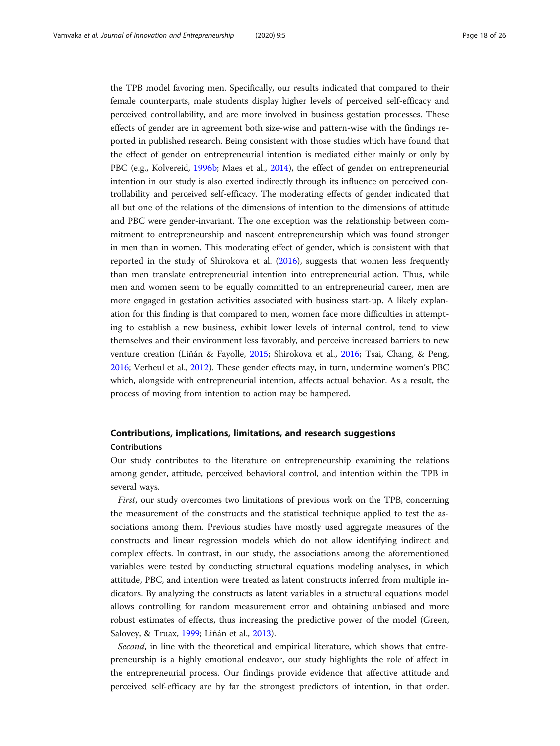the TPB model favoring men. Specifically, our results indicated that compared to their female counterparts, male students display higher levels of perceived self-efficacy and perceived controllability, and are more involved in business gestation processes. These effects of gender are in agreement both size-wise and pattern-wise with the findings reported in published research. Being consistent with those studies which have found that the effect of gender on entrepreneurial intention is mediated either mainly or only by PBC (e.g., Kolvereid, [1996b;](#page-23-0) Maes et al., [2014](#page-24-0)), the effect of gender on entrepreneurial intention in our study is also exerted indirectly through its influence on perceived controllability and perceived self-efficacy. The moderating effects of gender indicated that all but one of the relations of the dimensions of intention to the dimensions of attitude and PBC were gender-invariant. The one exception was the relationship between commitment to entrepreneurship and nascent entrepreneurship which was found stronger in men than in women. This moderating effect of gender, which is consistent with that reported in the study of Shirokova et al. ([2016](#page-24-0)), suggests that women less frequently than men translate entrepreneurial intention into entrepreneurial action. Thus, while men and women seem to be equally committed to an entrepreneurial career, men are more engaged in gestation activities associated with business start-up. A likely explanation for this finding is that compared to men, women face more difficulties in attempting to establish a new business, exhibit lower levels of internal control, tend to view themselves and their environment less favorably, and perceive increased barriers to new venture creation (Liñán & Fayolle, [2015](#page-24-0); Shirokova et al., [2016](#page-24-0); Tsai, Chang, & Peng, [2016](#page-25-0); Verheul et al., [2012](#page-25-0)). These gender effects may, in turn, undermine women's PBC which, alongside with entrepreneurial intention, affects actual behavior. As a result, the process of moving from intention to action may be hampered.

# Contributions, implications, limitations, and research suggestions Contributions

Our study contributes to the literature on entrepreneurship examining the relations among gender, attitude, perceived behavioral control, and intention within the TPB in several ways.

First, our study overcomes two limitations of previous work on the TPB, concerning the measurement of the constructs and the statistical technique applied to test the associations among them. Previous studies have mostly used aggregate measures of the constructs and linear regression models which do not allow identifying indirect and complex effects. In contrast, in our study, the associations among the aforementioned variables were tested by conducting structural equations modeling analyses, in which attitude, PBC, and intention were treated as latent constructs inferred from multiple indicators. By analyzing the constructs as latent variables in a structural equations model allows controlling for random measurement error and obtaining unbiased and more robust estimates of effects, thus increasing the predictive power of the model (Green, Salovey, & Truax, [1999;](#page-23-0) Liñán et al., [2013](#page-24-0)).

Second, in line with the theoretical and empirical literature, which shows that entrepreneurship is a highly emotional endeavor, our study highlights the role of affect in the entrepreneurial process. Our findings provide evidence that affective attitude and perceived self-efficacy are by far the strongest predictors of intention, in that order.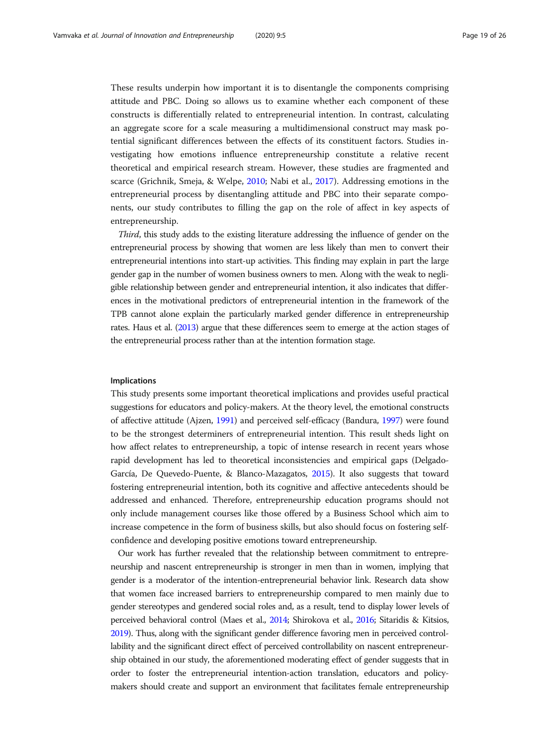These results underpin how important it is to disentangle the components comprising attitude and PBC. Doing so allows us to examine whether each component of these constructs is differentially related to entrepreneurial intention. In contrast, calculating an aggregate score for a scale measuring a multidimensional construct may mask potential significant differences between the effects of its constituent factors. Studies investigating how emotions influence entrepreneurship constitute a relative recent theoretical and empirical research stream. However, these studies are fragmented and scarce (Grichnik, Smeja, & Welpe, [2010](#page-23-0); Nabi et al., [2017](#page-24-0)). Addressing emotions in the entrepreneurial process by disentangling attitude and PBC into their separate components, our study contributes to filling the gap on the role of affect in key aspects of entrepreneurship.

Third, this study adds to the existing literature addressing the influence of gender on the entrepreneurial process by showing that women are less likely than men to convert their entrepreneurial intentions into start-up activities. This finding may explain in part the large gender gap in the number of women business owners to men. Along with the weak to negligible relationship between gender and entrepreneurial intention, it also indicates that differences in the motivational predictors of entrepreneurial intention in the framework of the TPB cannot alone explain the particularly marked gender difference in entrepreneurship rates. Haus et al. [\(2013](#page-23-0)) argue that these differences seem to emerge at the action stages of the entrepreneurial process rather than at the intention formation stage.

## Implications

This study presents some important theoretical implications and provides useful practical suggestions for educators and policy-makers. At the theory level, the emotional constructs of affective attitude (Ajzen, [1991](#page-21-0)) and perceived self-efficacy (Bandura, [1997\)](#page-21-0) were found to be the strongest determiners of entrepreneurial intention. This result sheds light on how affect relates to entrepreneurship, a topic of intense research in recent years whose rapid development has led to theoretical inconsistencies and empirical gaps (Delgado-García, De Quevedo-Puente, & Blanco-Mazagatos, [2015](#page-22-0)). It also suggests that toward fostering entrepreneurial intention, both its cognitive and affective antecedents should be addressed and enhanced. Therefore, entrepreneurship education programs should not only include management courses like those offered by a Business School which aim to increase competence in the form of business skills, but also should focus on fostering selfconfidence and developing positive emotions toward entrepreneurship.

Our work has further revealed that the relationship between commitment to entrepreneurship and nascent entrepreneurship is stronger in men than in women, implying that gender is a moderator of the intention-entrepreneurial behavior link. Research data show that women face increased barriers to entrepreneurship compared to men mainly due to gender stereotypes and gendered social roles and, as a result, tend to display lower levels of perceived behavioral control (Maes et al., [2014;](#page-24-0) Shirokova et al., [2016;](#page-24-0) Sitaridis & Kitsios, [2019\)](#page-24-0). Thus, along with the significant gender difference favoring men in perceived controllability and the significant direct effect of perceived controllability on nascent entrepreneurship obtained in our study, the aforementioned moderating effect of gender suggests that in order to foster the entrepreneurial intention-action translation, educators and policymakers should create and support an environment that facilitates female entrepreneurship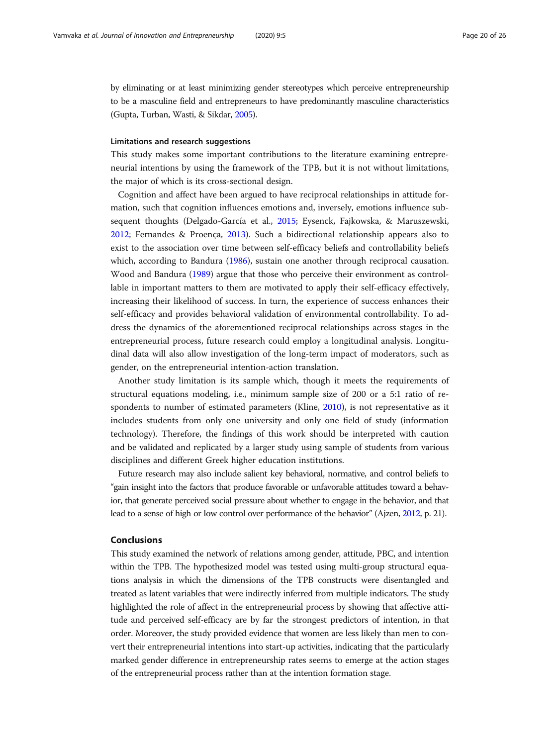by eliminating or at least minimizing gender stereotypes which perceive entrepreneurship to be a masculine field and entrepreneurs to have predominantly masculine characteristics (Gupta, Turban, Wasti, & Sikdar, [2005\)](#page-23-0).

# Limitations and research suggestions

This study makes some important contributions to the literature examining entrepreneurial intentions by using the framework of the TPB, but it is not without limitations, the major of which is its cross-sectional design.

Cognition and affect have been argued to have reciprocal relationships in attitude formation, such that cognition influences emotions and, inversely, emotions influence subsequent thoughts (Delgado-García et al., [2015;](#page-22-0) Eysenck, Fajkowska, & Maruszewski, [2012](#page-22-0); Fernandes & Proença, [2013](#page-22-0)). Such a bidirectional relationship appears also to exist to the association over time between self-efficacy beliefs and controllability beliefs which, according to Bandura ([1986](#page-21-0)), sustain one another through reciprocal causation. Wood and Bandura [\(1989\)](#page-25-0) argue that those who perceive their environment as controllable in important matters to them are motivated to apply their self-efficacy effectively, increasing their likelihood of success. In turn, the experience of success enhances their self-efficacy and provides behavioral validation of environmental controllability. To address the dynamics of the aforementioned reciprocal relationships across stages in the entrepreneurial process, future research could employ a longitudinal analysis. Longitudinal data will also allow investigation of the long-term impact of moderators, such as gender, on the entrepreneurial intention-action translation.

Another study limitation is its sample which, though it meets the requirements of structural equations modeling, i.e., minimum sample size of 200 or a 5:1 ratio of respondents to number of estimated parameters (Kline, [2010](#page-23-0)), is not representative as it includes students from only one university and only one field of study (information technology). Therefore, the findings of this work should be interpreted with caution and be validated and replicated by a larger study using sample of students from various disciplines and different Greek higher education institutions.

Future research may also include salient key behavioral, normative, and control beliefs to "gain insight into the factors that produce favorable or unfavorable attitudes toward a behavior, that generate perceived social pressure about whether to engage in the behavior, and that lead to a sense of high or low control over performance of the behavior" (Ajzen, [2012,](#page-21-0) p. 21).

# Conclusions

This study examined the network of relations among gender, attitude, PBC, and intention within the TPB. The hypothesized model was tested using multi-group structural equations analysis in which the dimensions of the TPB constructs were disentangled and treated as latent variables that were indirectly inferred from multiple indicators. The study highlighted the role of affect in the entrepreneurial process by showing that affective attitude and perceived self-efficacy are by far the strongest predictors of intention, in that order. Moreover, the study provided evidence that women are less likely than men to convert their entrepreneurial intentions into start-up activities, indicating that the particularly marked gender difference in entrepreneurship rates seems to emerge at the action stages of the entrepreneurial process rather than at the intention formation stage.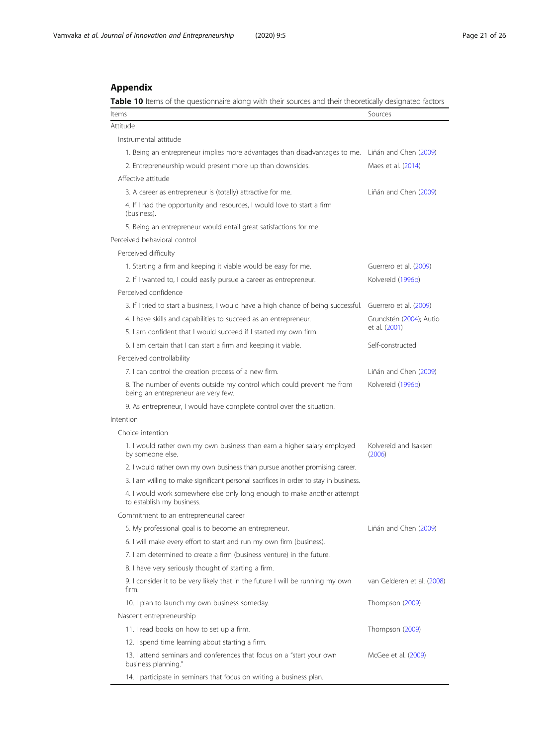# <span id="page-20-0"></span>Appendix

Table 10 Items of the questionnaire along with their sources and their theoretically designated factors

| Items                                                                                                         | Sources                         |
|---------------------------------------------------------------------------------------------------------------|---------------------------------|
| Attitude                                                                                                      |                                 |
| Instrumental attitude                                                                                         |                                 |
| 1. Being an entrepreneur implies more advantages than disadvantages to me.                                    | Liñán and Chen (2009)           |
| 2. Entrepreneurship would present more up than downsides.                                                     | Maes et al. (2014)              |
| Affective attitude                                                                                            |                                 |
| 3. A career as entrepreneur is (totally) attractive for me.                                                   | Liñán and Chen (2009)           |
| 4. If I had the opportunity and resources, I would love to start a firm<br>(business).                        |                                 |
| 5. Being an entrepreneur would entail great satisfactions for me.                                             |                                 |
| Perceived behavioral control                                                                                  |                                 |
| Perceived difficulty                                                                                          |                                 |
| 1. Starting a firm and keeping it viable would be easy for me.                                                | Guerrero et al. (2009)          |
| 2. If I wanted to, I could easily pursue a career as entrepreneur.                                            | Kolvereid (1996b)               |
| Perceived confidence                                                                                          |                                 |
| 3. If I tried to start a business, I would have a high chance of being successful. Guerrero et al. (2009)     |                                 |
| 4. I have skills and capabilities to succeed as an entrepreneur.                                              | Grundstén (2004); Autio         |
| 5. I am confident that I would succeed if I started my own firm.                                              | et al. (2001)                   |
| 6. I am certain that I can start a firm and keeping it viable.                                                | Self-constructed                |
| Perceived controllability                                                                                     |                                 |
| 7. I can control the creation process of a new firm.                                                          | Liñán and Chen (2009)           |
| 8. The number of events outside my control which could prevent me from<br>being an entrepreneur are very few. | Kolvereid (1996b)               |
| 9. As entrepreneur, I would have complete control over the situation.                                         |                                 |
| Intention                                                                                                     |                                 |
| Choice intention                                                                                              |                                 |
| 1. I would rather own my own business than earn a higher salary employed<br>by someone else.                  | Kolvereid and Isaksen<br>(2006) |
| 2. I would rather own my own business than pursue another promising career.                                   |                                 |
| 3. I am willing to make significant personal sacrifices in order to stay in business.                         |                                 |
| 4. I would work somewhere else only long enough to make another attempt<br>to establish my business.          |                                 |
| Commitment to an entrepreneurial career                                                                       |                                 |
| 5. My professional goal is to become an entrepreneur.                                                         | Liñán and Chen (2009)           |
| 6. I will make every effort to start and run my own firm (business).                                          |                                 |
| 7. I am determined to create a firm (business venture) in the future.                                         |                                 |
| 8. I have very seriously thought of starting a firm.                                                          |                                 |
| 9. I consider it to be very likely that in the future I will be running my own<br>firm.                       | van Gelderen et al. (2008)      |
| 10. I plan to launch my own business someday.                                                                 | Thompson (2009)                 |
| Nascent entrepreneurship                                                                                      |                                 |
| 11. I read books on how to set up a firm.                                                                     | Thompson (2009)                 |
| 12. I spend time learning about starting a firm.                                                              |                                 |
| 13. I attend seminars and conferences that focus on a "start your own<br>business planning."                  | McGee et al. (2009)             |
| 14. I participate in seminars that focus on writing a business plan.                                          |                                 |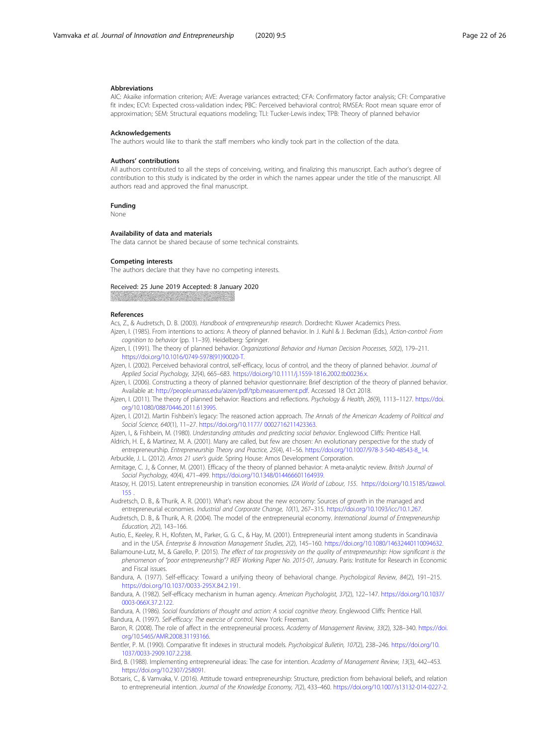### <span id="page-21-0"></span>Abbreviations

AIC: Akaike information criterion; AVE: Average variances extracted; CFA: Confirmatory factor analysis; CFI: Comparative fit index; ECVI: Expected cross-validation index; PBC: Perceived behavioral control; RMSEA: Root mean square error of approximation; SEM: Structural equations modeling; TLI: Tucker-Lewis index; TPB: Theory of planned behavior

### Acknowledgements

The authors would like to thank the staff members who kindly took part in the collection of the data.

#### Authors' contributions

All authors contributed to all the steps of conceiving, writing, and finalizing this manuscript. Each author's degree of contribution to this study is indicated by the order in which the names appear under the title of the manuscript. All authors read and approved the final manuscript.

## Funding

None

## Availability of data and materials

The data cannot be shared because of some technical constraints.

#### Competing interests

The authors declare that they have no competing interests.

### Received: 25 June 2019 Accepted: 8 January 2020

#### References

Acs, Z., & Audretsch, D. B. (2003). Handbook of entrepreneurship research. Dordrecht: Kluwer Academics Press.

Ajzen, I. (1985). From intentions to actions: A theory of planned behavior. In J. Kuhl & J. Beckman (Eds.), Action-control: From cognition to behavior (pp. 11–39). Heidelberg: Springer.

Ajzen, I. (1991). The theory of planned behavior. Organizational Behavior and Human Decision Processes, 50(2), 179–211. [https://doi.org/10.1016/0749-5978\(91\)90020-T](https://doi.org/10.1016/0749-5978(91)90020-T).

Ajzen, I. (2002). Perceived behavioral control, self-efficacy, locus of control, and the theory of planned behavior. Journal of Applied Social Psychology, 32(4), 665–683. [https://doi.org/10.1111/j.1559-1816.2002.tb00236.x.](https://doi.org/10.1111/j.1559-1816.2002.tb00236.x)

Ajzen, I. (2006). Constructing a theory of planned behavior questionnaire: Brief description of the theory of planned behavior. Available at: [http://people.umass.edu/aizen/pdf/tpb.measurement.pdf.](http://people.umass.edu/aizen/pdf/tpb.measurement.pdf) Accessed 18 Oct 2018.

Ajzen, I. (2011). The theory of planned behavior: Reactions and reflections. Psychology & Health, 26(9), 1113–1127. [https://doi.](https://doi.org/10.1080/08870446.2011.613995) [org/10.1080/08870446.2011.613995.](https://doi.org/10.1080/08870446.2011.613995)

Ajzen, I. (2012). Martin Fishbein's legacy: The reasoned action approach. The Annals of the American Academy of Political and Social Science, 640(1), 11–27. [https://doi.org/10.1177/ 0002716211423363.](https://doi.org/10.1177/ 0002716211423363)

Ajzen, I., & Fishbein, M. (1980). Understanding attitudes and predicting social behavior. Englewood Cliffs: Prentice Hall. Aldrich, H. E., & Martinez, M. A. (2001). Many are called, but few are chosen: An evolutionary perspective for the study of

entrepreneurship. Entrepreneurship Theory and Practice, 25(4), 41–56. [https://doi.org/10.1007/978-3-540-48543-8\\_14](https://doi.org/10.1007/978-3-540-48543-8_14). Arbuckle, J. L. (2012). Amos 21 user's guide. Spring House: Amos Development Corporation.

Armitage, C. J., & Conner, M. (2001). Efficacy of the theory of planned behavior: A meta-analytic review. British Journal of Social Psychology, 40(4), 471–499. [https://doi.org/10.1348/014466601164939.](https://doi.org/10.1348/014466601164939)

Atasoy, H. (2015). Latent entrepreneurship in transition economies. IZA World of Labour, 155. [https://doi.org/10.15185/izawol.](https://doi.org/10.15185/izawol.155) [155](https://doi.org/10.15185/izawol.155) .

Audretsch, D. B., & Thurik, A. R. (2001). What's new about the new economy: Sources of growth in the managed and entrepreneurial economies. Industrial and Corporate Change, 10(1), 267–315. <https://doi.org/10.1093/icc/10.1.267>.

Audretsch, D. B., & Thurik, A. R. (2004). The model of the entrepreneurial economy. International Journal of Entrepreneurship Education, 2(2), 143–166.

Autio, E., Keeley, R. H., Klofsten, M., Parker, G. G. C., & Hay, M. (2001). Entrepreneurial intent among students in Scandinavia and in the USA. Enterprise & Innovation Management Studies, 2(2), 145–160. [https://doi.org/10.1080/14632440110094632.](https://doi.org/10.1080/14632440110094632)

Baliamoune-Lutz, M., & Garello, P. (2015). The effect of tax progressivity on the quality of entrepreneurship: How significant is the phenomenon of "poor entrepreneurship"? IREF Working Paper No. 2015-01, January. Paris: Institute for Research in Economic and Fiscal issues.

Bandura, A. (1977). Self-efficacy: Toward a unifying theory of behavioral change. Psychological Review, 84(2), 191–215. <https://doi.org/10.1037/0033-295X.84.2.191>.

Bandura, A. (1982). Self-efficacy mechanism in human agency. American Psychologist, 37(2), 122–147. [https://doi.org/10.1037/](https://doi.org/10.1037/0003-066X.37.2.122) [0003-066X.37.2.122.](https://doi.org/10.1037/0003-066X.37.2.122)

Bandura, A. (1986). Social foundations of thought and action: A social cognitive theory. Englewood Cliffs: Prentice Hall. Bandura, A. (1997). Self-efficacy: The exercise of control. New York: Freeman.

Baron, R. (2008). The role of affect in the entrepreneurial process. Academy of Management Review, 33(2), 328–340. [https://doi.](https://doi.org/10.5465/AMR.2008.31193166) [org/10.5465/AMR.2008.31193166](https://doi.org/10.5465/AMR.2008.31193166).

Bentler, P. M. (1990). Comparative fit indexes in structural models. Psychological Bulletin, 107(2), 238–246. [https://doi.org/10.](https://doi.org/10.1037/0033-2909.107.2.238) [1037/0033-2909.107.2.238.](https://doi.org/10.1037/0033-2909.107.2.238)

- Bird, B. (1988). Implementing entrepreneurial ideas: The case for intention. Academy of Management Review, 13(3), 442–453. <https://doi.org/10.2307/258091>.
- Botsaris, C., & Vamvaka, V. (2016). Attitude toward entrepreneurship: Structure, prediction from behavioral beliefs, and relation to entrepreneurial intention. Journal of the Knowledge Economy, 7(2), 433–460. [https://doi.org/10.1007/s13132-014-0227-2.](https://doi.org/10.1007/s13132-014-0227-2)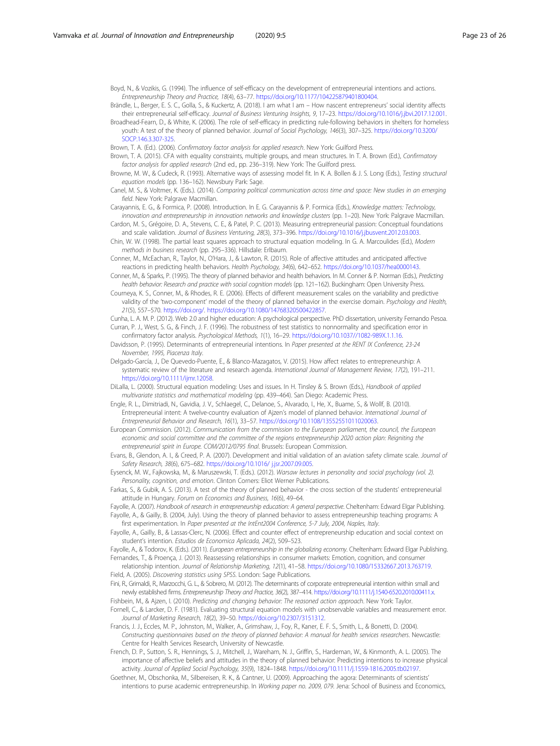<span id="page-22-0"></span>Boyd, N., & Vozikis, G. (1994). The influence of self-efficacy on the development of entrepreneurial intentions and actions. Entrepreneurship Theory and Practice, 18(4), 63–77. <https://doi.org/10.1177/104225879401800404>.

- Brändle, L., Berger, E. S. C., Golla, S., & Kuckertz, A. (2018). I am what I am How nascent entrepreneurs' social identity affects their entrepreneurial self-efficacy. Journal of Business Venturing Insights, 9, 17–23. <https://doi.org/10.1016/j.jbvi.2017.12.001>.
- Broadhead-Fearn, D., & White, K. (2006). The role of self-efficacy in predicting rule-following behaviors in shelters for homeless youth: A test of the theory of planned behavior. Journal of Social Psychology, 146(3), 307–325. [https://doi.org/10.3200/](https://doi.org/10.3200/SOCP.146.3.307-325) [SOCP.146.3.307-325.](https://doi.org/10.3200/SOCP.146.3.307-325)
- Brown, T. A. (Ed.). (2006). Confirmatory factor analysis for applied research. New York: Guilford Press.

Brown, T. A. (2015). CFA with equality constraints, multiple groups, and mean structures. In T. A. Brown (Ed.), Confirmatory factor analysis for applied research (2nd ed., pp. 236–319). New York: The Guilford press.

- Browne, M. W., & Cudeck, R. (1993). Alternative ways of assessing model fit. In K. A. Bollen & J. S. Long (Eds.), Testing structural equation models (pp. 136–162). Newsbury Park: Sage.
- Canel, M. S., & Voltmer, K. (Eds.). (2014). Comparing political communication across time and space: New studies in an emerging field. New York: Palgrave Macmillan.
- Carayannis, E. G., & Formica, P. (2008). Introduction. In E. G. Carayannis & P. Formica (Eds.), Knowledge matters: Technology, innovation and entrepreneurship in innovation networks and knowledge clusters (pp. 1–20). New York: Palgrave Macmillan.
- Cardon, M. S., Grégoire, D. A., Stevens, C. E., & Patel, P. C. (2013). Measuring entrepreneurial passion: Conceptual foundations and scale validation. Journal of Business Venturing, 28(3), 373–396. <https://doi.org/10.1016/j.jbusvent.2012.03.003>.
- Chin, W. W. (1998). The partial least squares approach to structural equation modeling. In G. A. Marcoulides (Ed.), Modern methods in business research (pp. 295–336). Hillsdale: Erlbaum.
- Conner, M., McEachan, R., Taylor, N., O'Hara, J., & Lawton, R. (2015). Role of affective attitudes and anticipated affective reactions in predicting health behaviors. Health Psychology, 34(6), 642–652. [https://doi.org/10.1037/hea0000143.](https://doi.org/10.1037/hea0000143)
- Conner, M., & Sparks, P. (1995). The theory of planned behavior and health behaviors. In M. Conner & P. Norman (Eds.), Predicting health behavior: Research and practice with social cognition models (pp. 121-162). Buckingham: Open University Press.
- Courneya, K. S., Conner, M., & Rhodes, R. E. (2006). Effects of different measurement scales on the variability and predictive validity of the 'two-component' model of the theory of planned behavior in the exercise domain. Psychology and Health, 21(5), 557–570. <https://doi.org/>. [https://doi.org/10.1080/14768320500422857.](https://doi.org/10.1080/14768320500422857)

Cunha, L. A. M. P. (2012). Web 2.0 and higher education: A psychological perspective. PhD dissertation, university Fernando Pesoa. Curran, P. J., West, S. G., & Finch, J. F. (1996). The robustness of test statistics to nonnormality and specification error in

- confirmatory factor analysis. Psychological Methods, 1(1), 16–29. [https://doi.org/10.1037//1082-989X.1.1.16.](https://doi.org/10.1037//1082-989X.1.1.16) Davidsson, P. (1995). Determinants of entrepreneurial intentions. In Paper presented at the RENT IX Conference, 23-24
- November, 1995, Piacenza Italy.
- Delgado-García, J., De Quevedo-Puente, E., & Blanco-Mazagatos, V. (2015). How affect relates to entrepreneurship: A systematic review of the literature and research agenda. International Journal of Management Review, 17(2), 191-211. [https://doi.org/10.1111/ijmr.12058.](https://doi.org/10.1111/ijmr.12058)
- DiLalla, L. (2000). Structural equation modeling: Uses and issues. In H. Tinsley & S. Brown (Eds.), Handbook of applied multivariate statistics and mathematical modeling (pp. 439–464). San Diego: Academic Press.
- Engle, R. L., Dimitriadi, N., Gavidia, J. V., Schlaegel, C., Delanoe, S., Alvarado, I., He, X., Buame, S., & Wollf, B. (2010). Entrepreneurial intent: A twelve-country evaluation of Ajzen's model of planned behavior. International Journal of Entrepreneurial Behavior and Research, 16(1), 33–57. <https://doi.org/10.1108/13552551011020063>.
- European Commission. (2012). Communication from the commission to the European parliament, the council, the European economic and social committee and the committee of the regions entrepreneurship 2020 action plan: Reigniting the entrepreneurial spirit in Europe. COM/2012/0795 final. Brussels: European Commission.
- Evans, B., Glendon, A. I., & Creed, P. A. (2007). Development and initial validation of an aviation safety climate scale. Journal of Safety Research, 38(6), 675–682. <https://doi.org/10.1016/ j.jsr.2007.09.005>.
- Eysenck, M. W., Fajkowska, M., & Maruszewski, T. (Eds.). (2012). Warsaw lectures in personality and social psychology (vol. 2). Personality, cognition, and emotion. Clinton Corners: Eliot Werner Publications.
- Farkas, S., & Gubik, A. S. (2013). A test of the theory of planned behavior the cross section of the students' entrepreneurial attitude in Hungary. Forum on Economics and Business, 16(6), 49–64.

Fayolle, A. (2007). Handbook of research in entrepreneurship education: A general perspective. Cheltenham: Edward Elgar Publishing. Fayolle, A., & Gailly, B. (2004, July). Using the theory of planned behavior to assess entrepreneurship teaching programs: A first experimentation. In Paper presented at the IntEnt2004 Conference, 5-7 July, 2004, Naples, Italy.

Fayolle, A., Gailly, B., & Lassas-Clerc, N. (2006). Effect and counter effect of entrepreneurship education and social context on student's intention. Estudios de Economica Aplicada, 24(2), 509–523.

Fayolle, A., & Todorov, K. (Eds.). (2011). European entrepreneurship in the globalizing economy. Cheltenham: Edward Elgar Publishing. Fernandes, T., & Proença, J. (2013). Reassessing relationships in consumer markets: Emotion, cognition, and consumer

relationship intention. Journal of Relationship Marketing, 12(1), 41–58. <https://doi.org/10.1080/15332667.2013.763719>. Field, A. (2005). Discovering statistics using SPSS. London: Sage Publications.

- Fini, R., Grimaldi, R., Marzocchi, G. L., & Sobrero, M. (2012). The determinants of corporate entrepreneurial intention within small and newly established firms. Entrepreneurship Theory and Practice, 36(2), 387–414. [https://doi.org/10.1111/j.1540-6520.2010.00411.x.](https://doi.org/10.1111/j.1540-6520.2010.00411.x)
- Fishbein, M., & Ajzen, I. (2010). Predicting and changing behavior: The reasoned action approach. New York: Taylor Fornell, C., & Larcker, D. F. (1981). Evaluating structural equation models with unobservable variables and measurement error. Journal of Marketing Research, 18(2), 39–50. [https://doi.org/10.2307/3151312.](https://doi.org/10.2307/3151312)

Francis, J. J., Eccles, M. P., Johnston, M., Walker, A., Grimshaw, J., Foy, R., Kaner, E. F. S., Smith, L., & Bonetti, D. (2004). Constructing questionnaires based on the theory of planned behavior: A manual for health services researchers. Newcastle: Centre for Health Services Research, University of Newcastle.

- French, D. P., Sutton, S. R., Hennings, S. J., Mitchell, J., Wareham, N. J., Griffin, S., Hardeman, W., & Kinmonth, A. L. (2005). The importance of affective beliefs and attitudes in the theory of planned behavior: Predicting intentions to increase physical activity. Journal of Applied Social Psychology, 35(9), 1824–1848. <https://doi.org/10.1111/j.1559-1816.2005.tb02197>.
- Goethner, M., Obschonka, M., Silbereisen, R. K., & Cantner, U. (2009). Approaching the agora: Determinants of scientists' intentions to purse academic entrepreneurship. In Working paper no. 2009, 079. Jena: School of Business and Economics,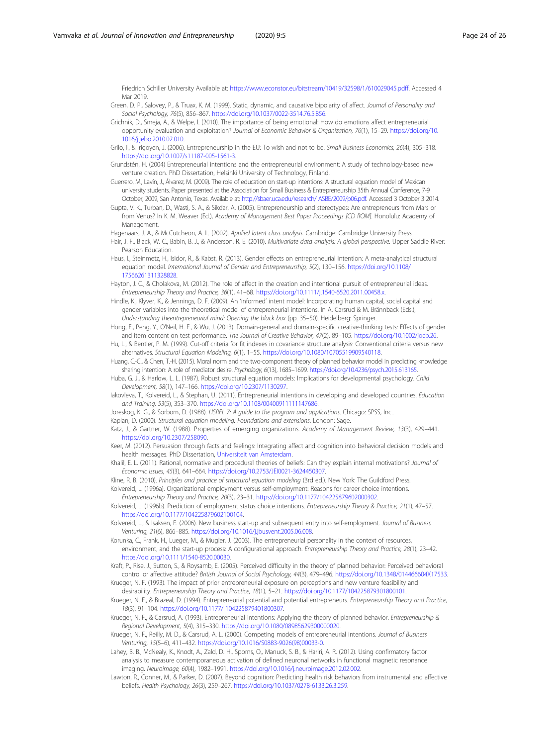<span id="page-23-0"></span>Friedrich Schiller University Available at: [https://www.econstor.eu/bitstream/10419/32598/1/610029045.pdff.](https://www.econstor.eu/bitstream/10419/32598/1/610029045.pdff) Accessed 4 Mar 2019.

- Green, D. P., Salovey, P., & Truax, K. M. (1999). Static, dynamic, and causative bipolarity of affect. Journal of Personality and Social Psychology, 76(5), 856–867. <https://doi.org/10.1037/0022-3514.76.5.856>.
- Grichnik, D., Smeja, A., & Welpe, I. (2010). The importance of being emotional: How do emotions affect entrepreneurial opportunity evaluation and exploitation? Journal of Economic Behavior & Organization, 76(1), 15–29. [https://doi.org/10.](https://doi.org/10.1016/j.jebo.2010.02.010) [1016/j.jebo.2010.02.010](https://doi.org/10.1016/j.jebo.2010.02.010).
- Grilo, I., & Irigoyen, J. (2006). Entrepreneurship in the EU: To wish and not to be. Small Business Economics, 26(4), 305–318. <https://doi.org/10.1007/s11187-005-1561-3>.
- Grundstén, H. (2004) Entrepreneurial intentions and the entrepreneurial environment: A study of technology-based new venture creation. PhD Dissertation, Helsinki University of Technology, Finland.
- Guerrero, M., Lavín, J., Álvarez, M. (2009). The role of education on start-up intentions: A structural equation model of Mexican university students. Paper presented at the Association for Small Business & Entrepreneurship 35th Annual Conference, 7-9 October, 2009, San Antonio, Texas. Available at: [http://sbaer.uca.edu/research/ ASBE/2009/p06.pdf.](http://sbaer.uca.edu/research/%20ASBE/2009/p06.pdf) Accessed 3 October 3 2014.
- Gupta, V. K., Turban, D., Wasti, S. A., & Sikdar, A. (2005). Entrepreneurship and stereotypes: Are entrepreneurs from Mars or from Venus? In K. M. Weaver (Ed.), Academy of Management Best Paper Proceedings [CD ROM]. Honolulu: Academy of Management.
- Hagenaars, J. A., & McCutcheon, A. L. (2002). Applied latent class analysis. Cambridge: Cambridge University Press.
- Hair, J. F., Black, W. C., Babin, B. J., & Anderson, R. E. (2010). Multivariate data analysis: A global perspective. Upper Saddle River: Pearson Education.
- Haus, I., Steinmetz, H., Isidor, R., & Kabst, R. (2013). Gender effects on entrepreneurial intention: A meta-analytical structural equation model. International Journal of Gender and Entrepreneurship, 5(2), 130–156. [https://doi.org/10.1108/](https://doi.org/10.1108/17566261311328828) [17566261311328828.](https://doi.org/10.1108/17566261311328828)
- Hayton, J. C., & Cholakova, M. (2012). The role of affect in the creation and intentional pursuit of entrepreneurial ideas. Entrepreneurship Theory and Practice, 36(1), 41–68. <https://doi.org/10.1111/j.1540-6520.2011.00458.x>.
- Hindle, K., Klyver, K., & Jennings, D. F. (2009). An 'informed' intent model: Incorporating human capital, social capital and gender variables into the theoretical model of entrepreneurial intentions. In A. Carsrud & M. Brännback (Eds.), Understanding theentrepreneurial mind: Opening the black box (pp. 35–50). Heidelberg: Springer.
- Hong, E., Peng, Y., O'Neil, H. F., & Wu, J. (2013). Domain-general and domain-specific creative-thinking tests: Effects of gender and item content on test performance. The Journal of Creative Behavior, 47(2), 89–105. <https://doi.org/10.1002/jocb.26>.
- Hu, L., & Bentler, P. M. (1999). Cut-off criteria for fit indexes in covariance structure analysis: Conventional criteria versus new alternatives. Structural Equation Modeling, 6(1), 1–55. <https://doi.org/10.1080/10705519909540118>.
- Huang, C.-C., & Chen, T.-H. (2015). Moral norm and the two-component theory of planned behavior model in predicting knowledge sharing intention: A role of mediator desire. Psychology, 6(13), 1685-1699. <https://doi.org/10.4236/psych.2015.613165>
- Huba, G. J., & Harlow, L. L. (1987). Robust structural equation models: Implications for developmental psychology. Child Development, 58(1), 147–166. [https://doi.org/10.2307/1130297.](https://doi.org/10.2307/1130297)
- lakovleva, T., Kolvereid, L., & Stephan, U. (2011). Entrepreneurial intentions in developing and developed countries. Education and Training, 53(5), 353–370. [https://doi.org/10.1108/00400911111147686.](https://doi.org/10.1108/00400911111147686)
- Joreskog, K. G., & Sorbom, D. (1988). LISREL 7: A guide to the program and applications. Chicago: SPSS, Inc..
- Kaplan, D. (2000). Structural equation modeling: Foundations and extensions. London: Sage.
- Katz, J., & Gartner, W. (1988). Properties of emerging organizations. Academy of Management Review, 13(3), 429–441. <https://doi.org/10.2307/258090>.
- Keer, M. (2012). Persuasion through facts and feelings: Integrating affect and cognition into behavioral decision models and health messages. PhD Dissertation, [Universiteit van Amsterdam](http://oatd.org/oatd/search?q=publisher%3A%28%22Universiteit%20van%20Amsterdam%22%29&pagesize=30).
- Khalil, E. L. (2011). Rational, normative and procedural theories of beliefs: Can they explain internal motivations? Journal of Economic Issues, 45(3), 641–664. [https://doi.org/10.2753/JEI0021-3624450307.](https://doi.org/10.2753/JEI0021-3624450307)
- Kline, R. B. (2010). Principles and practice of structural equation modeling (3rd ed.). New York: The Guildford Press. Kolvereid, L. (1996a). Organizational employment versus self-employment: Reasons for career choice intentions.
- Entrepreneurship Theory and Practice, 20(3), 23–31. <https://doi.org/10.1177/104225879602000302>.
- Kolvereid, L. (1996b). Prediction of employment status choice intentions. Entrepreneurship Theory & Practice, 21(1), 47-57. <https://doi.org/10.1177/104225879602100104>.
- Kolvereid, L., & Isaksen, E. (2006). New business start-up and subsequent entry into self-employment. Journal of Business Venturing, 21(6), 866–885. <https://doi.org/10.1016/j.jbusvent.2005.06.008>.
- Korunka, C., Frank, H., Lueger, M., & Mugler, J. (2003). The entrepreneurial personality in the context of resources, environment, and the start-up process: A configurational approach. Entrepreneurship Theory and Practice, 28(1), 23-42. <https://doi.org/10.1111/1540-8520.00030>.
- Kraft, P., Rise, J., Sutton, S., & Roysamb, E. (2005). Perceived difficulty in the theory of planned behavior: Perceived behavioral control or affective attitude? British Journal of Social Psychology, 44(3), 479–496. [https://doi.org/10.1348/014466604X17533.](https://doi.org/10.1348/014466604X17533)
- Krueger, N. F. (1993). The impact of prior entrepreneurial exposure on perceptions and new venture feasibility and desirability. Entrepreneurship Theory and Practice, 18(1), 5–21. <https://doi.org/10.1177/104225879301800101>.
- Krueger, N. F., & Brazeal, D. (1994). Entrepreneurial potential and potential entrepreneurs. Entrepreneurship Theory and Practice, 18(3), 91–104. <https://doi.org/10.1177/ 104225879401800307>.
- Krueger, N. F., & Carsrud, A. (1993). Entrepreneurial intentions: Applying the theory of planned behavior. Entrepreneurship & Regional Development, 5(4), 315–330. <https://doi.org/10.1080/08985629300000020>.
- Krueger, N. F., Reilly, M. D., & Carsrud, A. L. (2000). Competing models of entrepreneurial intentions. Journal of Business Venturing, 15(5–6), 411–432. [https://doi.org/10.1016/S0883-9026\(98\)00033-0.](https://doi.org/10.1016/S0883-9026(98)00033-0)
- Lahey, B. B., McNealy, K., Knodt, A., Zald, D. H., Sporns, O., Manuck, S. B., & Hariri, A. R. (2012). Using confirmatory factor analysis to measure contemporaneous activation of defined neuronal networks in functional magnetic resonance imaging. Neuroimage, 60(4), 1982–1991. <https://doi.org/10.1016/j.neuroimage.2012.02.002>.
- Lawton, R., Conner, M., & Parker, D. (2007). Beyond cognition: Predicting health risk behaviors from instrumental and affective beliefs. Health Psychology, 26(3), 259–267. <https://doi.org/10.1037/0278-6133.26.3.259>.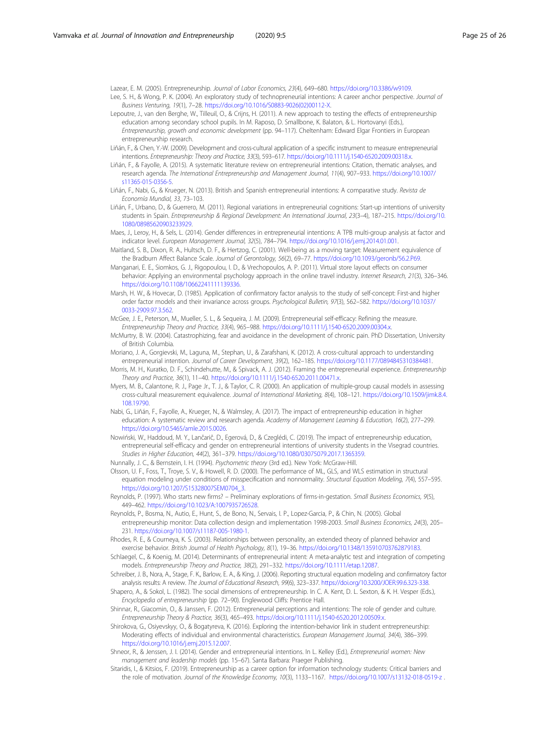<span id="page-24-0"></span>Lazear, E. M. (2005). Entrepreneurship. Journal of Labor Economics, 23(4), 649–680. <https://doi.org/10.3386/w9109>.

- Lee, S. H., & Wong, P. K. (2004). An exploratory study of technopreneurial intentions: A career anchor perspective. Journal of Business Venturing, 19(1), 7–28. [https://doi.org/10.1016/S0883-9026\(02\)00112-X](https://doi.org/10.1016/S0883-9026(02)00112-X).
- Lepoutre, J., van den Berghe, W., Tilleuil, O., & Crijns, H. (2011). A new approach to testing the effects of entrepreneurship education among secondary school pupils. In M. Raposo, D. Smallbone, K. Balaton, & L. Hortovanyi (Eds.), Entrepreneurship, growth and economic development (pp. 94–117). Cheltenham: Edward Elgar Frontiers in European entrepreneurship research.
- Liñán, F., & Chen, Y.-W. (2009). Development and cross-cultural application of a specific instrument to measure entrepreneurial intentions. Entrepreneurship: Theory and Practice, 33(3), 593–617. [https://doi.org/10.1111/j.1540-6520.2009.00318.x.](https://doi.org/10.1111/j.1540-6520.2009.00318.x)
- Liñán, F., & Fayolle, A. (2015). A systematic literature review on entrepreneurial intentions: Citation, thematic analyses, and research agenda. The International Entrepreneurship and Management Journal, 11(4), 907–933. [https://doi.org/10.1007/](https://doi.org/10.1007/s11365-015-0356-5) [s11365-015-0356-5.](https://doi.org/10.1007/s11365-015-0356-5)
- Liñán, F., Nabi, G., & Krueger, N. (2013). British and Spanish entrepreneurial intentions: A comparative study. Revista de Economía Mundial, 33, 73–103.
- Liñán, F., Urbano, D., & Guerrero, M. (2011). Regional variations in entrepreneurial cognitions: Start-up intentions of university students in Spain. Entrepreneurship & Regional Development: An International Journal, 23(3–4), 187–215. [https://doi.org/10.](https://doi.org/10.1080/08985620903233929) [1080/08985620903233929.](https://doi.org/10.1080/08985620903233929)
- Maes, J., Leroy, H., & Sels, L. (2014). Gender differences in entrepreneurial intentions: A TPB multi-group analysis at factor and indicator level. European Management Journal, 32(5), 784–794. [https://doi.org/10.1016/j.emj.2014.01.001.](https://doi.org/10.1016/j.emj.2014.01.001)
- Maitland, S. B., Dixon, R. A., Hultsch, D. F., & Hertzog, C. (2001). Well-being as a moving target: Measurement equivalence of the Bradburn Affect Balance Scale. Journal of Gerontology, 56(2), 69–77. <https://doi.org/10.1093/geronb/56.2.P69>.
- Manganari, E. E., Siomkos, G. J., Rigopoulou, I. D., & Vrechopoulos, A. P. (2011). Virtual store layout effects on consumer behavior: Applying an environmental psychology approach in the online travel industry. Internet Research, 21(3), 326–346. [https://doi.org/10.1108/10662241111139336.](https://doi.org/10.1108/10662241111139336)
- Marsh, H. W., & Hovecar, D. (1985). Application of confirmatory factor analysis to the study of self-concept: First-and higher order factor models and their invariance across groups. Psychological Bulletin, 97(3), 562–582. [https://doi.org/10.1037/](https://doi.org/10.1037/0033-2909.97.3.562) [0033-2909.97.3.562](https://doi.org/10.1037/0033-2909.97.3.562).
- McGee, J. E., Peterson, M., Mueller, S. L., & Sequeira, J. M. (2009). Entrepreneurial self-efficacy: Refining the measure. Entrepreneurship Theory and Practice, 33(4), 965–988. [https://doi.org/10.1111/j.1540-6520.2009.00304.x.](https://doi.org/10.1111/j.1540-6520.2009.00304.x)
- McMurtry, B. W. (2004). Catastrophizing, fear and avoidance in the development of chronic pain. PhD Dissertation, University of British Columbia.
- Moriano, J. A., Gorgievski, M., Laguna, M., Stephan, U., & Zarafshani, K. (2012). A cross-cultural approach to understanding entrepreneurial intention. Journal of Career Development, 39(2), 162–185. <https://doi.org/10.1177/0894845310384481>.

Morris, M. H., Kuratko, D. F., Schindehutte, M., & Spivack, A. J. (2012). Framing the entrepreneurial experience. Entrepreneurship Theory and Practice, 36(1), 11–40. <https://doi.org/10.1111/j.1540-6520.2011.00471.x>.

- Myers, M. B., Calantone, R. J., Page Jr., T. J., & Taylor, C. R. (2000). An application of multiple-group causal models in assessing cross-cultural measurement equivalence. Journal of International Marketing, 8(4), 108–121. [https://doi.org/10.1509/jimk.8.4.](https://doi.org/10.1509/jimk.8.4.108.19790) [108.19790](https://doi.org/10.1509/jimk.8.4.108.19790).
- Nabi, G., Liñán, F., Fayolle, A., Krueger, N., & Walmsley, A. (2017). The impact of entrepreneurship education in higher education: A systematic review and research agenda. Academy of Management Learning & Education, 16(2), 277–299. <https://doi.org/10.5465/amle.2015.0026>.
- Nowiński, W., Haddoud, M. Y., Lančarič, D., Egerová, D., & Czeglédi, C. (2019). The impact of entrepreneurship education, entrepreneurial self-efficacy and gender on entrepreneurial intentions of university students in the Visegrad countries. Studies in Higher Education, 44(2), 361–379. [https://doi.org/10.1080/03075079.2017.1365359.](https://doi.org/10.1080/03075079.2017.1365359)
- Nunnally, J. C., & Bernstein, I. H. (1994). Psychometric theory (3rd ed.). New York: McGraw-Hill.
- Olsson, U. F., Foss, T., Troye, S. V., & Howell, R. D. (2000). The performance of ML, GLS, and WLS estimation in structural equation modeling under conditions of misspecification and nonnormality. Structural Equation Modeling, 7(4), 557–595. [https://doi.org/10.1207/S15328007SEM0704\\_3](https://doi.org/10.1207/S15328007SEM0704_3).
- Reynolds, P. (1997). Who starts new firms? Preliminary explorations of firms-in-gestation. Small Business Economics, 9(5), 449–462. [https://doi.org/10.1023/A:1007935726528.](https://doi.org/10.1023/A:1007935726528)
- Reynolds, P., Bosma, N., Autio, E., Hunt, S., de Bono, N., Servais, I. P., Lopez-Garcia, P., & Chin, N. (2005). Global entrepreneurship monitor: Data collection design and implementation 1998-2003. Small Business Economics, 24(3), 205-231. [https://doi.org/10.1007/s11187-005-1980-1.](https://doi.org/10.1007/s11187-005-1980-1)
- Rhodes, R. E., & Courneya, K. S. (2003). Relationships between personality, an extended theory of planned behavior and exercise behavior. British Journal of Health Psychology, 8(1), 19–36. <https://doi.org/10.1348/135910703762879183>.
- Schlaegel, C., & Koenig, M. (2014). Determinants of entrepreneurial intent: A meta-analytic test and integration of competing models. Entrepreneurship Theory and Practice, 38(2), 291–332. [https://doi.org/10.1111/etap.12087.](https://doi.org/10.1111/etap.12087)
- Schreiber, J. B., Nora, A., Stage, F. K., Barlow, E. A., & King, J. (2006). Reporting structural equation modeling and confirmatory factor analysis results: A review. The Journal of Educational Research, 99(6), 323–337. [https://doi.org/10.3200/JOER.99.6.323-338.](https://doi.org/10.3200/JOER.99.6.323-338)
- Shapero, A., & Sokol, L. (1982). The social dimensions of entrepreneurship. In C. A. Kent, D. L. Sexton, & K. H. Vesper (Eds.), Encyclopedia of entrepreneurship (pp. 72–90). Englewood Cliffs: Prentice Hall.
- Shinnar, R., Giacomin, O., & Janssen, F. (2012). Entrepreneurial perceptions and intentions: The role of gender and culture. Entrepreneurship Theory & Practice, 36(3), 465–493. <https://doi.org/10.1111/j.1540-6520.2012.00509.x>.
- Shirokova, G., Osiyevskyy, O., & Bogatyreva, K. (2016). Exploring the intention-behavior link in student entrepreneurship: Moderating effects of individual and environmental characteristics. European Management Journal, 34(4), 386–399. <https://doi.org/10.1016/j.emj.2015.12.007>.
- Shneor, R., & Jenssen, J. I. (2014). Gender and entrepreneurial intentions. In L. Kelley (Ed.), Entrepreneurial women: New management and leadership models (pp. 15–67). Santa Barbara: Praeger Publishing.
- Sitaridis, I., & Kitsios, F. (2019). Entrepreneurship as a career option for information technology students: Critical barriers and the role of motivation. Journal of the Knowledge Economy, 10(3), 1133-1167. <https://doi.org/10.1007/s13132-018-0519-z>.